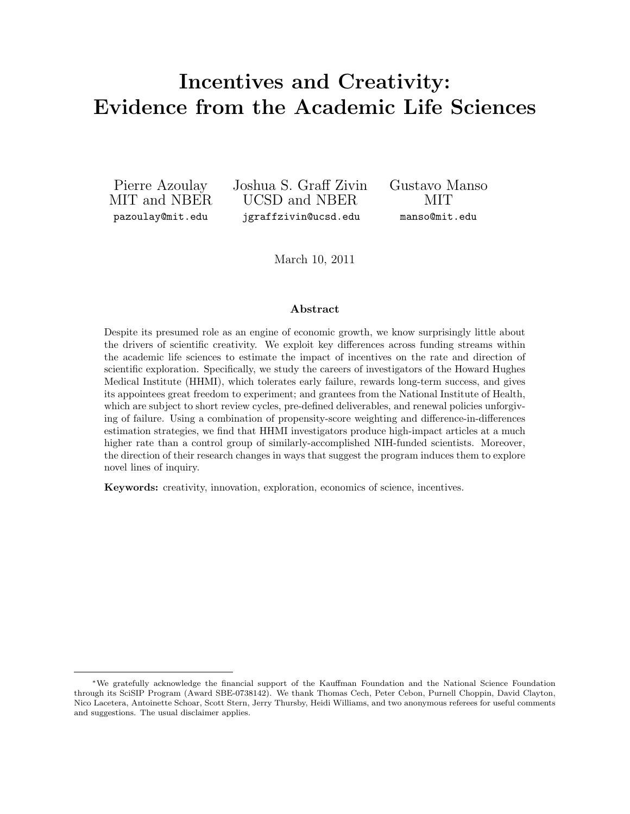# Incentives and Creativity: Evidence from the Academic Life Sciences

Pierre Azoulay Joshua S. Graff Zivin Gustavo Manso<br>MIT and NBER UCSD and NBER MIT UCSD and NBER pazoulay@mit.edu jgraffzivin@ucsd.edu manso@mit.edu

March 10, 2011

#### Abstract

Despite its presumed role as an engine of economic growth, we know surprisingly little about the drivers of scientific creativity. We exploit key differences across funding streams within the academic life sciences to estimate the impact of incentives on the rate and direction of scientific exploration. Specifically, we study the careers of investigators of the Howard Hughes Medical Institute (HHMI), which tolerates early failure, rewards long-term success, and gives its appointees great freedom to experiment; and grantees from the National Institute of Health, which are subject to short review cycles, pre-defined deliverables, and renewal policies unforgiving of failure. Using a combination of propensity-score weighting and difference-in-differences estimation strategies, we find that HHMI investigators produce high-impact articles at a much higher rate than a control group of similarly-accomplished NIH-funded scientists. Moreover, the direction of their research changes in ways that suggest the program induces them to explore novel lines of inquiry.

Keywords: creativity, innovation, exploration, economics of science, incentives.

<sup>∗</sup>We gratefully acknowledge the financial support of the Kauffman Foundation and the National Science Foundation through its SciSIP Program (Award SBE-0738142). We thank Thomas Cech, Peter Cebon, Purnell Choppin, David Clayton, Nico Lacetera, Antoinette Schoar, Scott Stern, Jerry Thursby, Heidi Williams, and two anonymous referees for useful comments and suggestions. The usual disclaimer applies.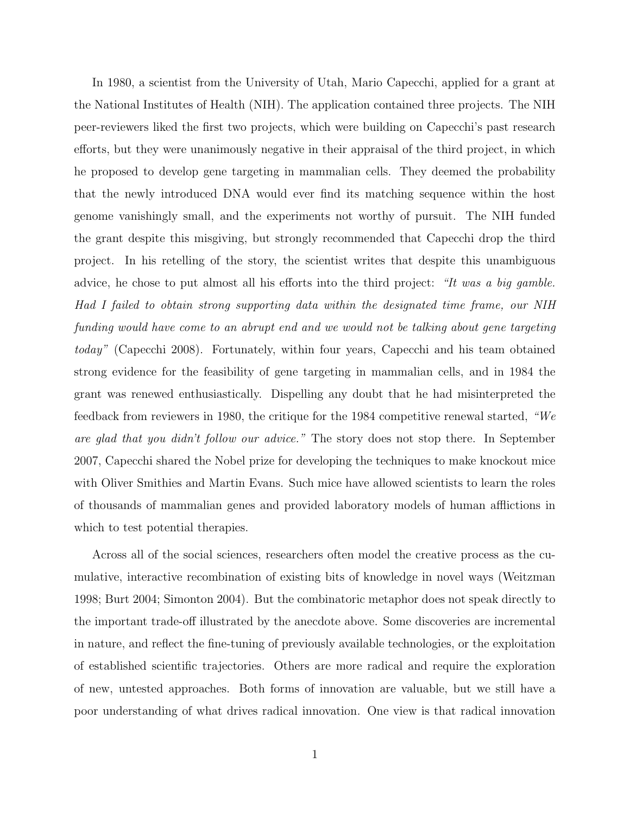In 1980, a scientist from the University of Utah, Mario Capecchi, applied for a grant at the National Institutes of Health (NIH). The application contained three projects. The NIH peer-reviewers liked the first two projects, which were building on Capecchi's past research efforts, but they were unanimously negative in their appraisal of the third project, in which he proposed to develop gene targeting in mammalian cells. They deemed the probability that the newly introduced DNA would ever find its matching sequence within the host genome vanishingly small, and the experiments not worthy of pursuit. The NIH funded the grant despite this misgiving, but strongly recommended that Capecchi drop the third project. In his retelling of the story, the scientist writes that despite this unambiguous advice, he chose to put almost all his efforts into the third project: "It was a big gamble. Had I failed to obtain strong supporting data within the designated time frame, our NIH funding would have come to an abrupt end and we would not be talking about gene targeting today" (Capecchi 2008). Fortunately, within four years, Capecchi and his team obtained strong evidence for the feasibility of gene targeting in mammalian cells, and in 1984 the grant was renewed enthusiastically. Dispelling any doubt that he had misinterpreted the feedback from reviewers in 1980, the critique for the 1984 competitive renewal started, "We are glad that you didn't follow our advice." The story does not stop there. In September 2007, Capecchi shared the Nobel prize for developing the techniques to make knockout mice with Oliver Smithies and Martin Evans. Such mice have allowed scientists to learn the roles of thousands of mammalian genes and provided laboratory models of human afflictions in which to test potential therapies.

Across all of the social sciences, researchers often model the creative process as the cumulative, interactive recombination of existing bits of knowledge in novel ways (Weitzman 1998; Burt 2004; Simonton 2004). But the combinatoric metaphor does not speak directly to the important trade-off illustrated by the anecdote above. Some discoveries are incremental in nature, and reflect the fine-tuning of previously available technologies, or the exploitation of established scientific trajectories. Others are more radical and require the exploration of new, untested approaches. Both forms of innovation are valuable, but we still have a poor understanding of what drives radical innovation. One view is that radical innovation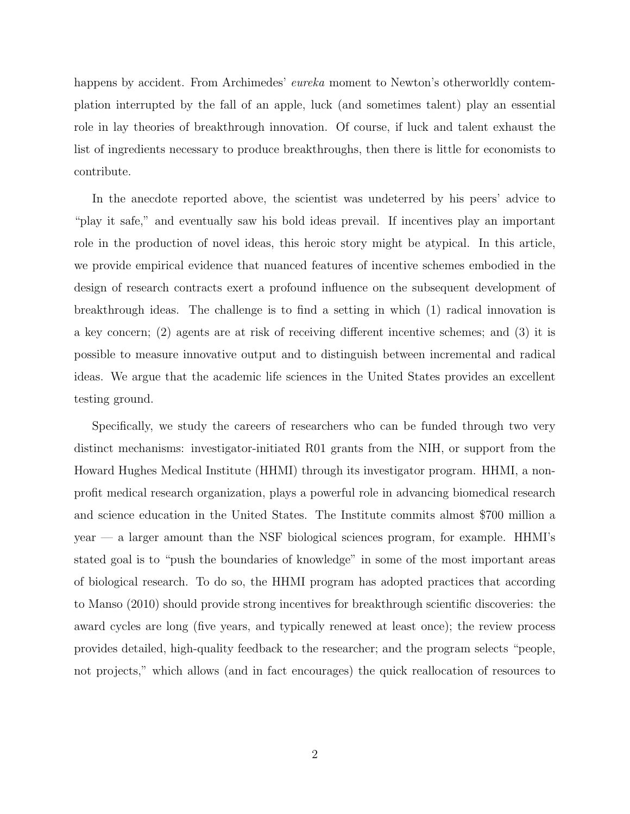happens by accident. From Archimedes' *eureka* moment to Newton's otherworldly contemplation interrupted by the fall of an apple, luck (and sometimes talent) play an essential role in lay theories of breakthrough innovation. Of course, if luck and talent exhaust the list of ingredients necessary to produce breakthroughs, then there is little for economists to contribute.

In the anecdote reported above, the scientist was undeterred by his peers' advice to "play it safe," and eventually saw his bold ideas prevail. If incentives play an important role in the production of novel ideas, this heroic story might be atypical. In this article, we provide empirical evidence that nuanced features of incentive schemes embodied in the design of research contracts exert a profound influence on the subsequent development of breakthrough ideas. The challenge is to find a setting in which (1) radical innovation is a key concern; (2) agents are at risk of receiving different incentive schemes; and (3) it is possible to measure innovative output and to distinguish between incremental and radical ideas. We argue that the academic life sciences in the United States provides an excellent testing ground.

Specifically, we study the careers of researchers who can be funded through two very distinct mechanisms: investigator-initiated R01 grants from the NIH, or support from the Howard Hughes Medical Institute (HHMI) through its investigator program. HHMI, a nonprofit medical research organization, plays a powerful role in advancing biomedical research and science education in the United States. The Institute commits almost \$700 million a year — a larger amount than the NSF biological sciences program, for example. HHMI's stated goal is to "push the boundaries of knowledge" in some of the most important areas of biological research. To do so, the HHMI program has adopted practices that according to Manso (2010) should provide strong incentives for breakthrough scientific discoveries: the award cycles are long (five years, and typically renewed at least once); the review process provides detailed, high-quality feedback to the researcher; and the program selects "people, not projects," which allows (and in fact encourages) the quick reallocation of resources to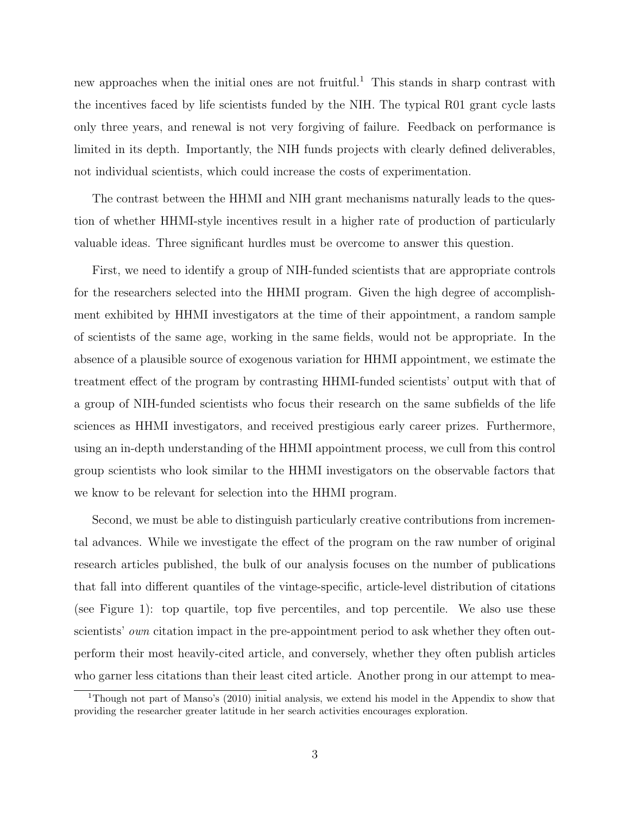new approaches when the initial ones are not fruitful.<sup>1</sup> This stands in sharp contrast with the incentives faced by life scientists funded by the NIH. The typical R01 grant cycle lasts only three years, and renewal is not very forgiving of failure. Feedback on performance is limited in its depth. Importantly, the NIH funds projects with clearly defined deliverables, not individual scientists, which could increase the costs of experimentation.

The contrast between the HHMI and NIH grant mechanisms naturally leads to the question of whether HHMI-style incentives result in a higher rate of production of particularly valuable ideas. Three significant hurdles must be overcome to answer this question.

First, we need to identify a group of NIH-funded scientists that are appropriate controls for the researchers selected into the HHMI program. Given the high degree of accomplishment exhibited by HHMI investigators at the time of their appointment, a random sample of scientists of the same age, working in the same fields, would not be appropriate. In the absence of a plausible source of exogenous variation for HHMI appointment, we estimate the treatment effect of the program by contrasting HHMI-funded scientists' output with that of a group of NIH-funded scientists who focus their research on the same subfields of the life sciences as HHMI investigators, and received prestigious early career prizes. Furthermore, using an in-depth understanding of the HHMI appointment process, we cull from this control group scientists who look similar to the HHMI investigators on the observable factors that we know to be relevant for selection into the HHMI program.

Second, we must be able to distinguish particularly creative contributions from incremental advances. While we investigate the effect of the program on the raw number of original research articles published, the bulk of our analysis focuses on the number of publications that fall into different quantiles of the vintage-specific, article-level distribution of citations (see Figure 1): top quartile, top five percentiles, and top percentile. We also use these scientists' own citation impact in the pre-appointment period to ask whether they often outperform their most heavily-cited article, and conversely, whether they often publish articles who garner less citations than their least cited article. Another prong in our attempt to mea-

<sup>1</sup>Though not part of Manso's (2010) initial analysis, we extend his model in the Appendix to show that providing the researcher greater latitude in her search activities encourages exploration.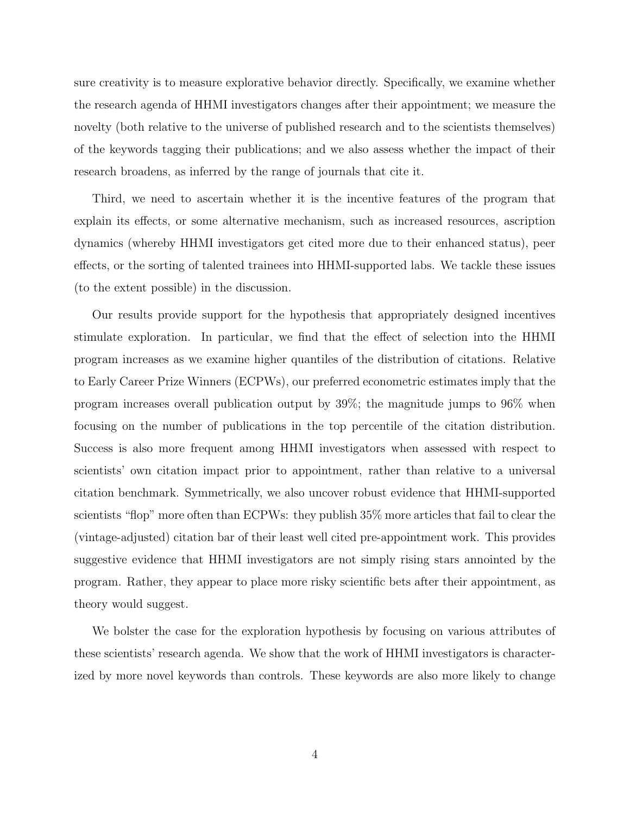sure creativity is to measure explorative behavior directly. Specifically, we examine whether the research agenda of HHMI investigators changes after their appointment; we measure the novelty (both relative to the universe of published research and to the scientists themselves) of the keywords tagging their publications; and we also assess whether the impact of their research broadens, as inferred by the range of journals that cite it.

Third, we need to ascertain whether it is the incentive features of the program that explain its effects, or some alternative mechanism, such as increased resources, ascription dynamics (whereby HHMI investigators get cited more due to their enhanced status), peer effects, or the sorting of talented trainees into HHMI-supported labs. We tackle these issues (to the extent possible) in the discussion.

Our results provide support for the hypothesis that appropriately designed incentives stimulate exploration. In particular, we find that the effect of selection into the HHMI program increases as we examine higher quantiles of the distribution of citations. Relative to Early Career Prize Winners (ECPWs), our preferred econometric estimates imply that the program increases overall publication output by 39%; the magnitude jumps to 96% when focusing on the number of publications in the top percentile of the citation distribution. Success is also more frequent among HHMI investigators when assessed with respect to scientists' own citation impact prior to appointment, rather than relative to a universal citation benchmark. Symmetrically, we also uncover robust evidence that HHMI-supported scientists "flop" more often than ECPWs: they publish 35% more articles that fail to clear the (vintage-adjusted) citation bar of their least well cited pre-appointment work. This provides suggestive evidence that HHMI investigators are not simply rising stars annointed by the program. Rather, they appear to place more risky scientific bets after their appointment, as theory would suggest.

We bolster the case for the exploration hypothesis by focusing on various attributes of these scientists' research agenda. We show that the work of HHMI investigators is characterized by more novel keywords than controls. These keywords are also more likely to change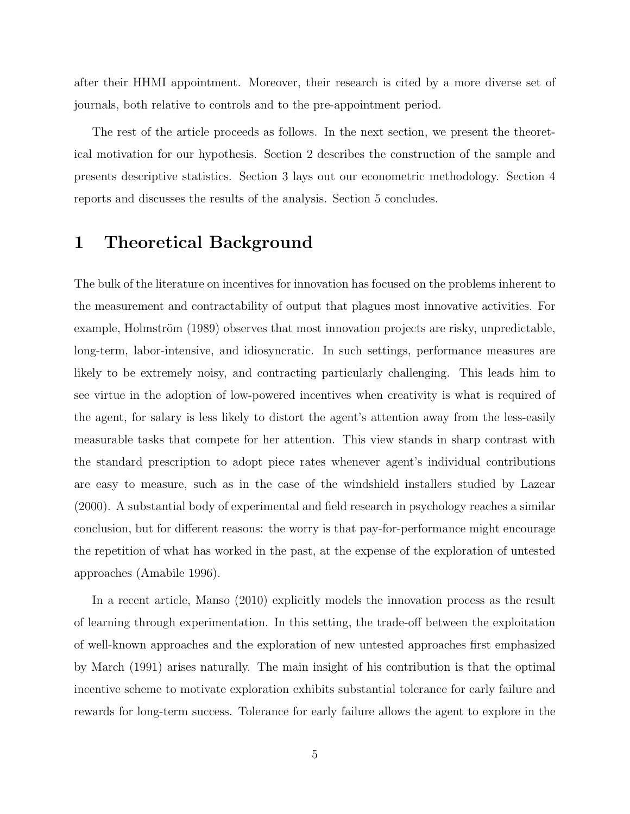after their HHMI appointment. Moreover, their research is cited by a more diverse set of journals, both relative to controls and to the pre-appointment period.

The rest of the article proceeds as follows. In the next section, we present the theoretical motivation for our hypothesis. Section 2 describes the construction of the sample and presents descriptive statistics. Section 3 lays out our econometric methodology. Section 4 reports and discusses the results of the analysis. Section 5 concludes.

#### 1 Theoretical Background

The bulk of the literature on incentives for innovation has focused on the problems inherent to the measurement and contractability of output that plagues most innovative activities. For example, Holmström (1989) observes that most innovation projects are risky, unpredictable, long-term, labor-intensive, and idiosyncratic. In such settings, performance measures are likely to be extremely noisy, and contracting particularly challenging. This leads him to see virtue in the adoption of low-powered incentives when creativity is what is required of the agent, for salary is less likely to distort the agent's attention away from the less-easily measurable tasks that compete for her attention. This view stands in sharp contrast with the standard prescription to adopt piece rates whenever agent's individual contributions are easy to measure, such as in the case of the windshield installers studied by Lazear (2000). A substantial body of experimental and field research in psychology reaches a similar conclusion, but for different reasons: the worry is that pay-for-performance might encourage the repetition of what has worked in the past, at the expense of the exploration of untested approaches (Amabile 1996).

In a recent article, Manso (2010) explicitly models the innovation process as the result of learning through experimentation. In this setting, the trade-off between the exploitation of well-known approaches and the exploration of new untested approaches first emphasized by March (1991) arises naturally. The main insight of his contribution is that the optimal incentive scheme to motivate exploration exhibits substantial tolerance for early failure and rewards for long-term success. Tolerance for early failure allows the agent to explore in the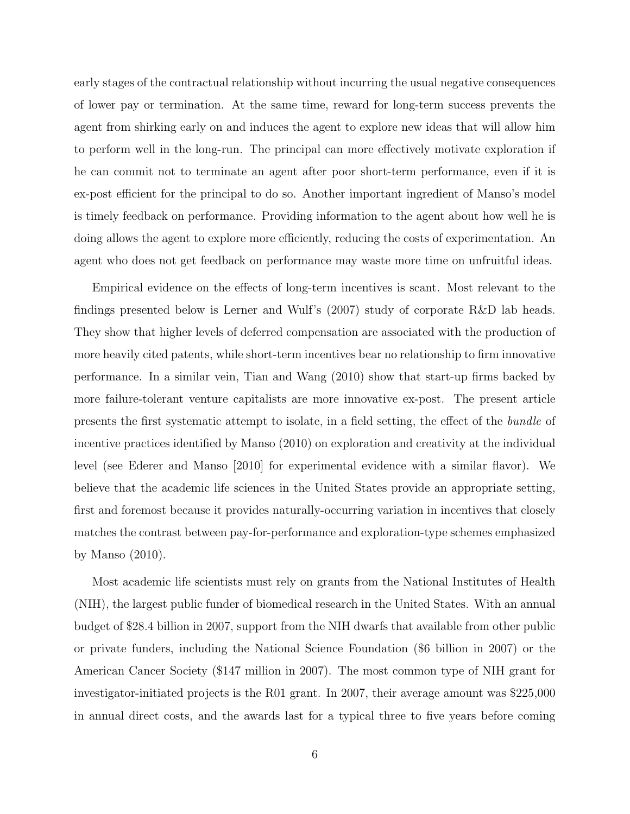early stages of the contractual relationship without incurring the usual negative consequences of lower pay or termination. At the same time, reward for long-term success prevents the agent from shirking early on and induces the agent to explore new ideas that will allow him to perform well in the long-run. The principal can more effectively motivate exploration if he can commit not to terminate an agent after poor short-term performance, even if it is ex-post efficient for the principal to do so. Another important ingredient of Manso's model is timely feedback on performance. Providing information to the agent about how well he is doing allows the agent to explore more efficiently, reducing the costs of experimentation. An agent who does not get feedback on performance may waste more time on unfruitful ideas.

Empirical evidence on the effects of long-term incentives is scant. Most relevant to the findings presented below is Lerner and Wulf's (2007) study of corporate R&D lab heads. They show that higher levels of deferred compensation are associated with the production of more heavily cited patents, while short-term incentives bear no relationship to firm innovative performance. In a similar vein, Tian and Wang (2010) show that start-up firms backed by more failure-tolerant venture capitalists are more innovative ex-post. The present article presents the first systematic attempt to isolate, in a field setting, the effect of the bundle of incentive practices identified by Manso (2010) on exploration and creativity at the individual level (see Ederer and Manso [2010] for experimental evidence with a similar flavor). We believe that the academic life sciences in the United States provide an appropriate setting, first and foremost because it provides naturally-occurring variation in incentives that closely matches the contrast between pay-for-performance and exploration-type schemes emphasized by Manso (2010).

Most academic life scientists must rely on grants from the National Institutes of Health (NIH), the largest public funder of biomedical research in the United States. With an annual budget of \$28.4 billion in 2007, support from the NIH dwarfs that available from other public or private funders, including the National Science Foundation (\$6 billion in 2007) or the American Cancer Society (\$147 million in 2007). The most common type of NIH grant for investigator-initiated projects is the R01 grant. In 2007, their average amount was \$225,000 in annual direct costs, and the awards last for a typical three to five years before coming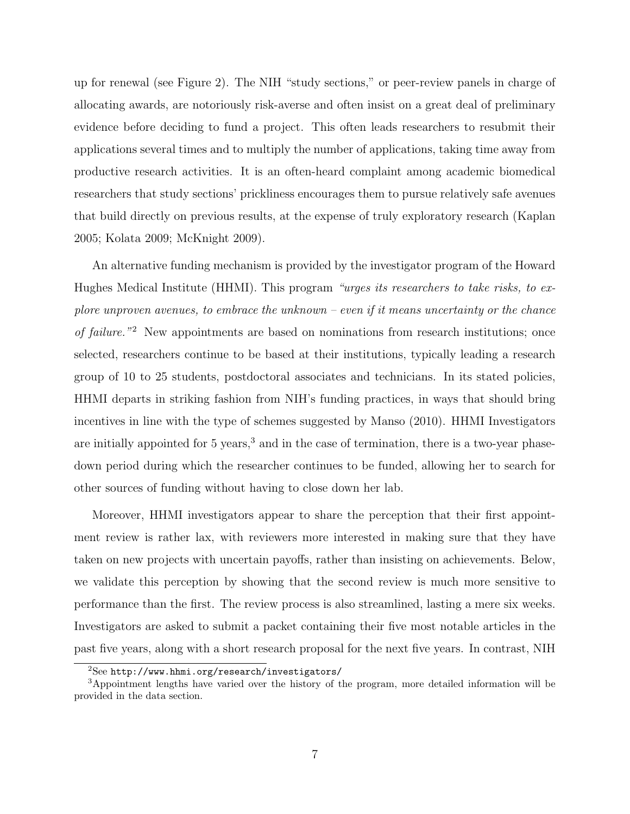up for renewal (see Figure 2). The NIH "study sections," or peer-review panels in charge of allocating awards, are notoriously risk-averse and often insist on a great deal of preliminary evidence before deciding to fund a project. This often leads researchers to resubmit their applications several times and to multiply the number of applications, taking time away from productive research activities. It is an often-heard complaint among academic biomedical researchers that study sections' prickliness encourages them to pursue relatively safe avenues that build directly on previous results, at the expense of truly exploratory research (Kaplan 2005; Kolata 2009; McKnight 2009).

An alternative funding mechanism is provided by the investigator program of the Howard Hughes Medical Institute (HHMI). This program "urges its researchers to take risks, to explore unproven avenues, to embrace the unknown – even if it means uncertainty or the chance of failure."<sup>2</sup> New appointments are based on nominations from research institutions; once selected, researchers continue to be based at their institutions, typically leading a research group of 10 to 25 students, postdoctoral associates and technicians. In its stated policies, HHMI departs in striking fashion from NIH's funding practices, in ways that should bring incentives in line with the type of schemes suggested by Manso (2010). HHMI Investigators are initially appointed for  $5 \text{ years},^3$  and in the case of termination, there is a two-year phasedown period during which the researcher continues to be funded, allowing her to search for other sources of funding without having to close down her lab.

Moreover, HHMI investigators appear to share the perception that their first appointment review is rather lax, with reviewers more interested in making sure that they have taken on new projects with uncertain payoffs, rather than insisting on achievements. Below, we validate this perception by showing that the second review is much more sensitive to performance than the first. The review process is also streamlined, lasting a mere six weeks. Investigators are asked to submit a packet containing their five most notable articles in the past five years, along with a short research proposal for the next five years. In contrast, NIH

<sup>2</sup>See http://www.hhmi.org/research/investigators/

<sup>&</sup>lt;sup>3</sup>Appointment lengths have varied over the history of the program, more detailed information will be provided in the data section.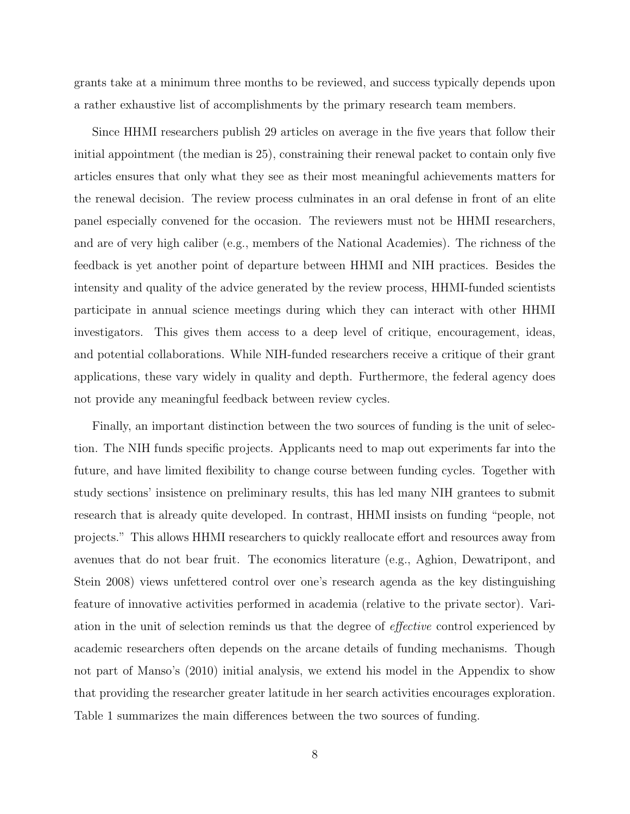grants take at a minimum three months to be reviewed, and success typically depends upon a rather exhaustive list of accomplishments by the primary research team members.

Since HHMI researchers publish 29 articles on average in the five years that follow their initial appointment (the median is 25), constraining their renewal packet to contain only five articles ensures that only what they see as their most meaningful achievements matters for the renewal decision. The review process culminates in an oral defense in front of an elite panel especially convened for the occasion. The reviewers must not be HHMI researchers, and are of very high caliber (e.g., members of the National Academies). The richness of the feedback is yet another point of departure between HHMI and NIH practices. Besides the intensity and quality of the advice generated by the review process, HHMI-funded scientists participate in annual science meetings during which they can interact with other HHMI investigators. This gives them access to a deep level of critique, encouragement, ideas, and potential collaborations. While NIH-funded researchers receive a critique of their grant applications, these vary widely in quality and depth. Furthermore, the federal agency does not provide any meaningful feedback between review cycles.

Finally, an important distinction between the two sources of funding is the unit of selection. The NIH funds specific projects. Applicants need to map out experiments far into the future, and have limited flexibility to change course between funding cycles. Together with study sections' insistence on preliminary results, this has led many NIH grantees to submit research that is already quite developed. In contrast, HHMI insists on funding "people, not projects." This allows HHMI researchers to quickly reallocate effort and resources away from avenues that do not bear fruit. The economics literature (e.g., Aghion, Dewatripont, and Stein 2008) views unfettered control over one's research agenda as the key distinguishing feature of innovative activities performed in academia (relative to the private sector). Variation in the unit of selection reminds us that the degree of effective control experienced by academic researchers often depends on the arcane details of funding mechanisms. Though not part of Manso's (2010) initial analysis, we extend his model in the Appendix to show that providing the researcher greater latitude in her search activities encourages exploration. Table 1 summarizes the main differences between the two sources of funding.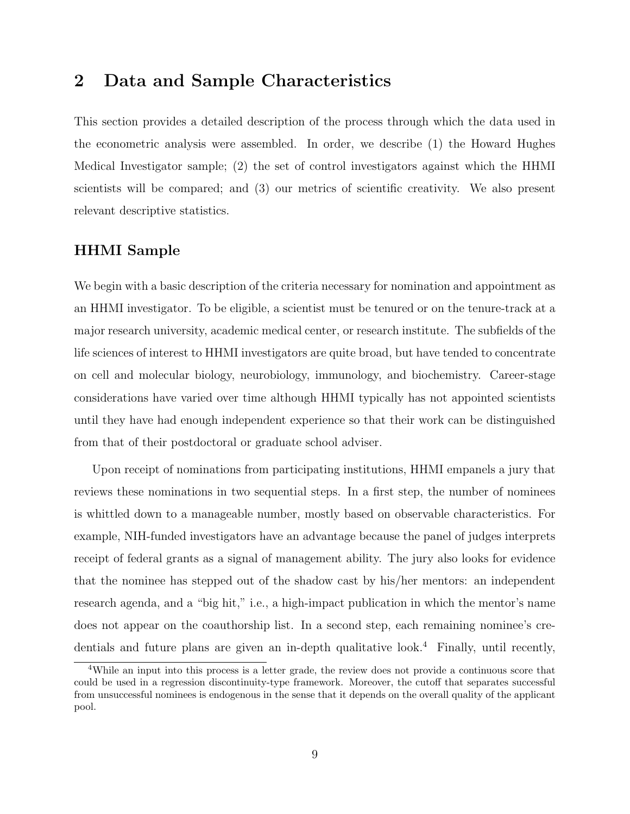## 2 Data and Sample Characteristics

This section provides a detailed description of the process through which the data used in the econometric analysis were assembled. In order, we describe (1) the Howard Hughes Medical Investigator sample; (2) the set of control investigators against which the HHMI scientists will be compared; and (3) our metrics of scientific creativity. We also present relevant descriptive statistics.

#### HHMI Sample

We begin with a basic description of the criteria necessary for nomination and appointment as an HHMI investigator. To be eligible, a scientist must be tenured or on the tenure-track at a major research university, academic medical center, or research institute. The subfields of the life sciences of interest to HHMI investigators are quite broad, but have tended to concentrate on cell and molecular biology, neurobiology, immunology, and biochemistry. Career-stage considerations have varied over time although HHMI typically has not appointed scientists until they have had enough independent experience so that their work can be distinguished from that of their postdoctoral or graduate school adviser.

Upon receipt of nominations from participating institutions, HHMI empanels a jury that reviews these nominations in two sequential steps. In a first step, the number of nominees is whittled down to a manageable number, mostly based on observable characteristics. For example, NIH-funded investigators have an advantage because the panel of judges interprets receipt of federal grants as a signal of management ability. The jury also looks for evidence that the nominee has stepped out of the shadow cast by his/her mentors: an independent research agenda, and a "big hit," i.e., a high-impact publication in which the mentor's name does not appear on the coauthorship list. In a second step, each remaining nominee's credentials and future plans are given an in-depth qualitative look.<sup>4</sup> Finally, until recently,

<sup>4</sup>While an input into this process is a letter grade, the review does not provide a continuous score that could be used in a regression discontinuity-type framework. Moreover, the cutoff that separates successful from unsuccessful nominees is endogenous in the sense that it depends on the overall quality of the applicant pool.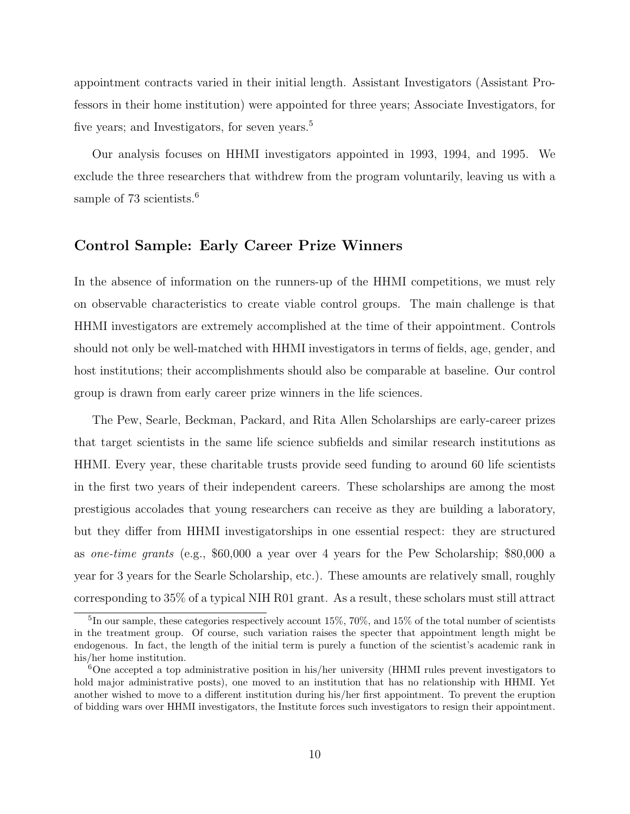appointment contracts varied in their initial length. Assistant Investigators (Assistant Professors in their home institution) were appointed for three years; Associate Investigators, for five years; and Investigators, for seven years.<sup>5</sup>

Our analysis focuses on HHMI investigators appointed in 1993, 1994, and 1995. We exclude the three researchers that withdrew from the program voluntarily, leaving us with a sample of 73 scientists.<sup>6</sup>

#### Control Sample: Early Career Prize Winners

In the absence of information on the runners-up of the HHMI competitions, we must rely on observable characteristics to create viable control groups. The main challenge is that HHMI investigators are extremely accomplished at the time of their appointment. Controls should not only be well-matched with HHMI investigators in terms of fields, age, gender, and host institutions; their accomplishments should also be comparable at baseline. Our control group is drawn from early career prize winners in the life sciences.

The Pew, Searle, Beckman, Packard, and Rita Allen Scholarships are early-career prizes that target scientists in the same life science subfields and similar research institutions as HHMI. Every year, these charitable trusts provide seed funding to around 60 life scientists in the first two years of their independent careers. These scholarships are among the most prestigious accolades that young researchers can receive as they are building a laboratory, but they differ from HHMI investigatorships in one essential respect: they are structured as one-time grants (e.g., \$60,000 a year over 4 years for the Pew Scholarship; \$80,000 a year for 3 years for the Searle Scholarship, etc.). These amounts are relatively small, roughly corresponding to 35% of a typical NIH R01 grant. As a result, these scholars must still attract

<sup>&</sup>lt;sup>5</sup>In our sample, these categories respectively account 15%, 70%, and 15% of the total number of scientists in the treatment group. Of course, such variation raises the specter that appointment length might be endogenous. In fact, the length of the initial term is purely a function of the scientist's academic rank in his/her home institution.

<sup>6</sup>One accepted a top administrative position in his/her university (HHMI rules prevent investigators to hold major administrative posts), one moved to an institution that has no relationship with HHMI. Yet another wished to move to a different institution during his/her first appointment. To prevent the eruption of bidding wars over HHMI investigators, the Institute forces such investigators to resign their appointment.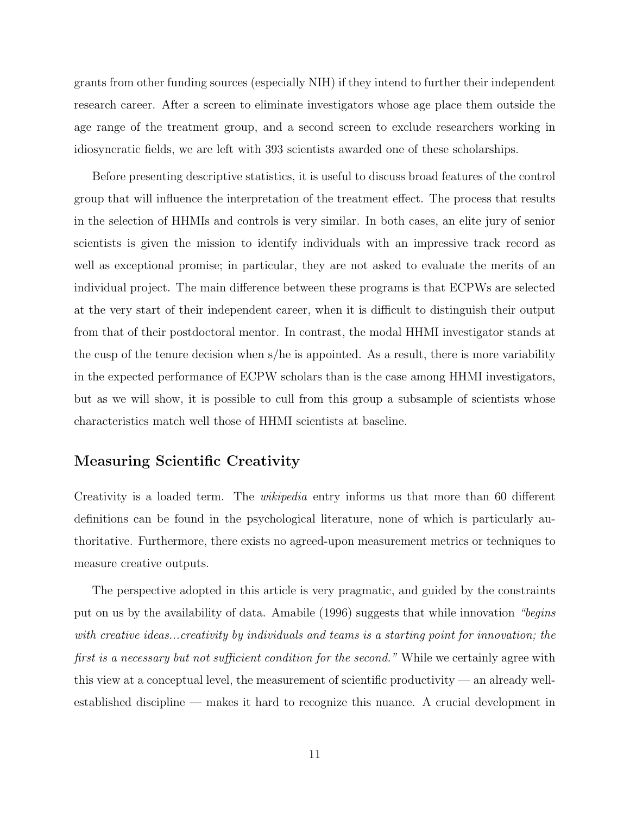grants from other funding sources (especially NIH) if they intend to further their independent research career. After a screen to eliminate investigators whose age place them outside the age range of the treatment group, and a second screen to exclude researchers working in idiosyncratic fields, we are left with 393 scientists awarded one of these scholarships.

Before presenting descriptive statistics, it is useful to discuss broad features of the control group that will influence the interpretation of the treatment effect. The process that results in the selection of HHMIs and controls is very similar. In both cases, an elite jury of senior scientists is given the mission to identify individuals with an impressive track record as well as exceptional promise; in particular, they are not asked to evaluate the merits of an individual project. The main difference between these programs is that ECPWs are selected at the very start of their independent career, when it is difficult to distinguish their output from that of their postdoctoral mentor. In contrast, the modal HHMI investigator stands at the cusp of the tenure decision when s/he is appointed. As a result, there is more variability in the expected performance of ECPW scholars than is the case among HHMI investigators, but as we will show, it is possible to cull from this group a subsample of scientists whose characteristics match well those of HHMI scientists at baseline.

#### Measuring Scientific Creativity

Creativity is a loaded term. The wikipedia entry informs us that more than 60 different definitions can be found in the psychological literature, none of which is particularly authoritative. Furthermore, there exists no agreed-upon measurement metrics or techniques to measure creative outputs.

The perspective adopted in this article is very pragmatic, and guided by the constraints put on us by the availability of data. Amabile (1996) suggests that while innovation "begins with creative ideas...creativity by individuals and teams is a starting point for innovation; the first is a necessary but not sufficient condition for the second." While we certainly agree with this view at a conceptual level, the measurement of scientific productivity — an already wellestablished discipline — makes it hard to recognize this nuance. A crucial development in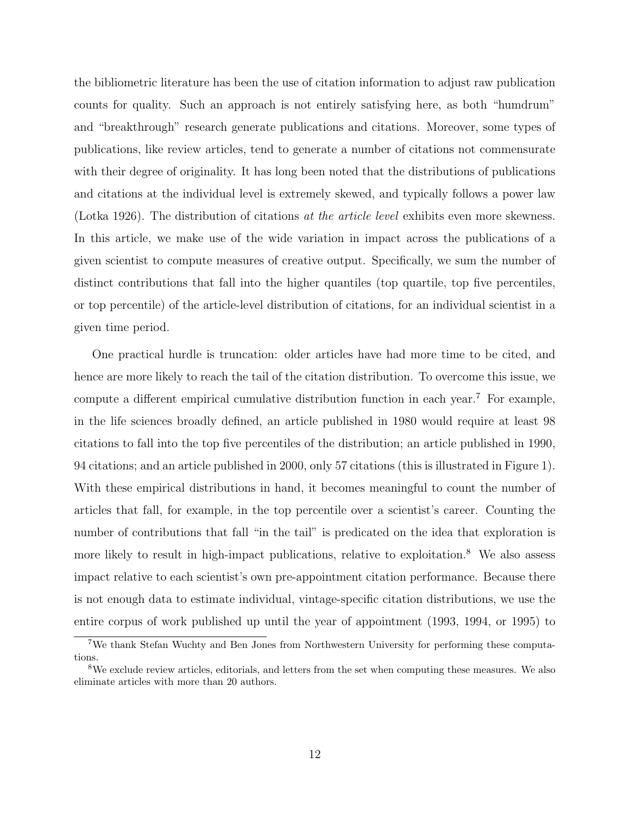the bibliometric literature has been the use of citation information to adjust raw publication counts for quality. Such an approach is not entirely satisfying here, as both "humdrum" and "breakthrough" research generate publications and citations. Moreover, some types of publications, like review articles, tend to generate a number of citations not commensurate with their degree of originality. It has long been noted that the distributions of publications and citations at the individual level is extremely skewed, and typically follows a power law (Lotka 1926). The distribution of citations at the article level exhibits even more skewness. In this article, we make use of the wide variation in impact across the publications of a given scientist to compute measures of creative output. Specifically, we sum the number of distinct contributions that fall into the higher quantiles (top quartile, top five percentiles, or top percentile) of the article-level distribution of citations, for an individual scientist in a given time period.

One practical hurdle is truncation: older articles have had more time to be cited, and hence are more likely to reach the tail of the citation distribution. To overcome this issue, we compute a different empirical cumulative distribution function in each year.<sup>7</sup> For example, in the life sciences broadly defined, an article published in 1980 would require at least 98 citations to fall into the top five percentiles of the distribution; an article published in 1990, 94 citations; and an article published in 2000, only 57 citations (this is illustrated in Figure 1). With these empirical distributions in hand, it becomes meaningful to count the number of articles that fall, for example, in the top percentile over a scientist's career. Counting the number of contributions that fall "in the tail" is predicated on the idea that exploration is more likely to result in high-impact publications, relative to exploitation.<sup>8</sup> We also assess impact relative to each scientist's own pre-appointment citation performance. Because there is not enough data to estimate individual, vintage-specific citation distributions, we use the entire corpus of work published up until the year of appointment (1993, 1994, or 1995) to

<sup>7</sup>We thank Stefan Wuchty and Ben Jones from Northwestern University for performing these computations.

<sup>&</sup>lt;sup>8</sup>We exclude review articles, editorials, and letters from the set when computing these measures. We also eliminate articles with more than 20 authors.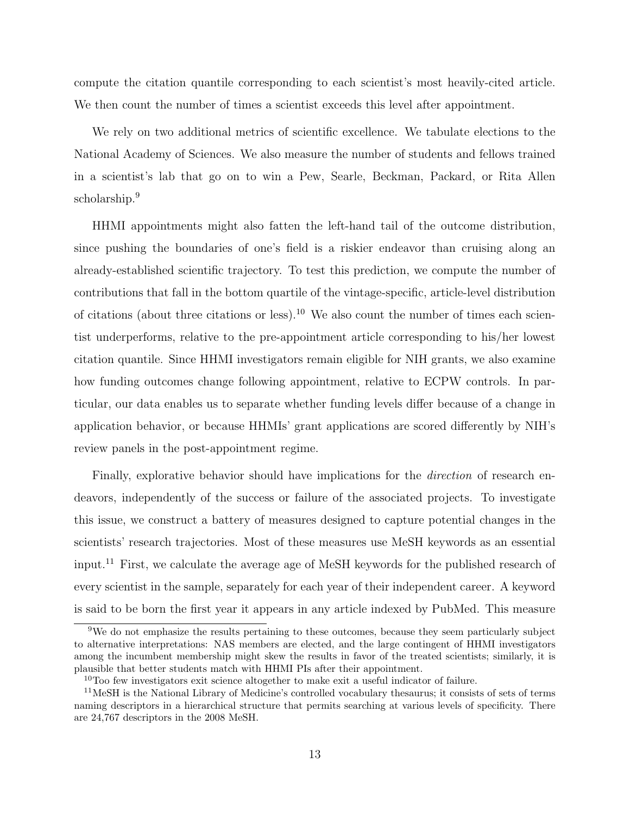compute the citation quantile corresponding to each scientist's most heavily-cited article. We then count the number of times a scientist exceeds this level after appointment.

We rely on two additional metrics of scientific excellence. We tabulate elections to the National Academy of Sciences. We also measure the number of students and fellows trained in a scientist's lab that go on to win a Pew, Searle, Beckman, Packard, or Rita Allen scholarship.<sup>9</sup>

HHMI appointments might also fatten the left-hand tail of the outcome distribution, since pushing the boundaries of one's field is a riskier endeavor than cruising along an already-established scientific trajectory. To test this prediction, we compute the number of contributions that fall in the bottom quartile of the vintage-specific, article-level distribution of citations (about three citations or less).<sup>10</sup> We also count the number of times each scientist underperforms, relative to the pre-appointment article corresponding to his/her lowest citation quantile. Since HHMI investigators remain eligible for NIH grants, we also examine how funding outcomes change following appointment, relative to ECPW controls. In particular, our data enables us to separate whether funding levels differ because of a change in application behavior, or because HHMIs' grant applications are scored differently by NIH's review panels in the post-appointment regime.

Finally, explorative behavior should have implications for the *direction* of research endeavors, independently of the success or failure of the associated projects. To investigate this issue, we construct a battery of measures designed to capture potential changes in the scientists' research trajectories. Most of these measures use MeSH keywords as an essential input.<sup>11</sup> First, we calculate the average age of MeSH keywords for the published research of every scientist in the sample, separately for each year of their independent career. A keyword is said to be born the first year it appears in any article indexed by PubMed. This measure

<sup>9</sup>We do not emphasize the results pertaining to these outcomes, because they seem particularly subject to alternative interpretations: NAS members are elected, and the large contingent of HHMI investigators among the incumbent membership might skew the results in favor of the treated scientists; similarly, it is plausible that better students match with HHMI PIs after their appointment.

<sup>&</sup>lt;sup>10</sup>Too few investigators exit science altogether to make exit a useful indicator of failure.

<sup>11</sup>MeSH is the National Library of Medicine's controlled vocabulary thesaurus; it consists of sets of terms naming descriptors in a hierarchical structure that permits searching at various levels of specificity. There are 24,767 descriptors in the 2008 MeSH.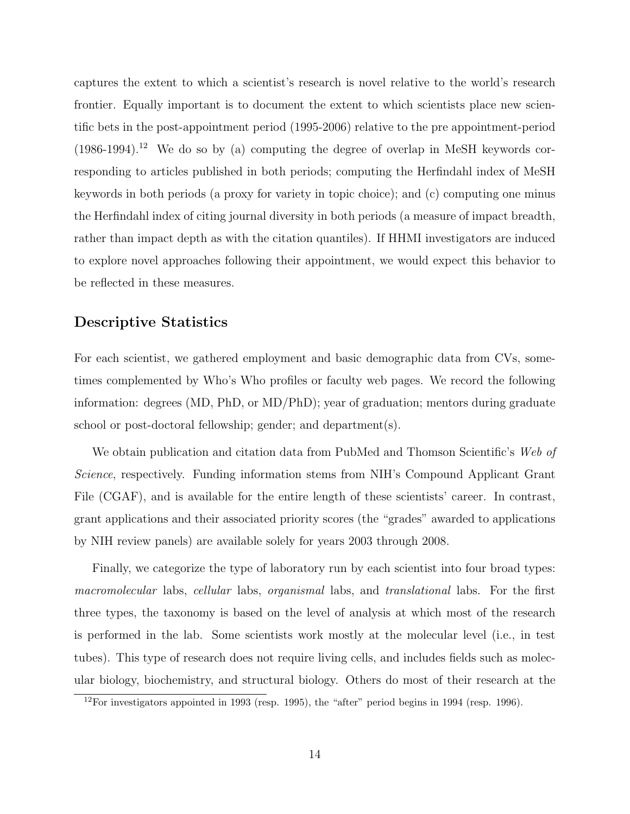captures the extent to which a scientist's research is novel relative to the world's research frontier. Equally important is to document the extent to which scientists place new scientific bets in the post-appointment period (1995-2006) relative to the pre appointment-period  $(1986-1994).$ <sup>12</sup> We do so by (a) computing the degree of overlap in MeSH keywords corresponding to articles published in both periods; computing the Herfindahl index of MeSH keywords in both periods (a proxy for variety in topic choice); and (c) computing one minus the Herfindahl index of citing journal diversity in both periods (a measure of impact breadth, rather than impact depth as with the citation quantiles). If HHMI investigators are induced to explore novel approaches following their appointment, we would expect this behavior to be reflected in these measures.

#### Descriptive Statistics

For each scientist, we gathered employment and basic demographic data from CVs, sometimes complemented by Who's Who profiles or faculty web pages. We record the following information: degrees (MD, PhD, or MD/PhD); year of graduation; mentors during graduate school or post-doctoral fellowship; gender; and department(s).

We obtain publication and citation data from PubMed and Thomson Scientific's Web of Science, respectively. Funding information stems from NIH's Compound Applicant Grant File (CGAF), and is available for the entire length of these scientists' career. In contrast, grant applications and their associated priority scores (the "grades" awarded to applications by NIH review panels) are available solely for years 2003 through 2008.

Finally, we categorize the type of laboratory run by each scientist into four broad types: macromolecular labs, cellular labs, organismal labs, and translational labs. For the first three types, the taxonomy is based on the level of analysis at which most of the research is performed in the lab. Some scientists work mostly at the molecular level (i.e., in test tubes). This type of research does not require living cells, and includes fields such as molecular biology, biochemistry, and structural biology. Others do most of their research at the

 $12$ For investigators appointed in 1993 (resp. 1995), the "after" period begins in 1994 (resp. 1996).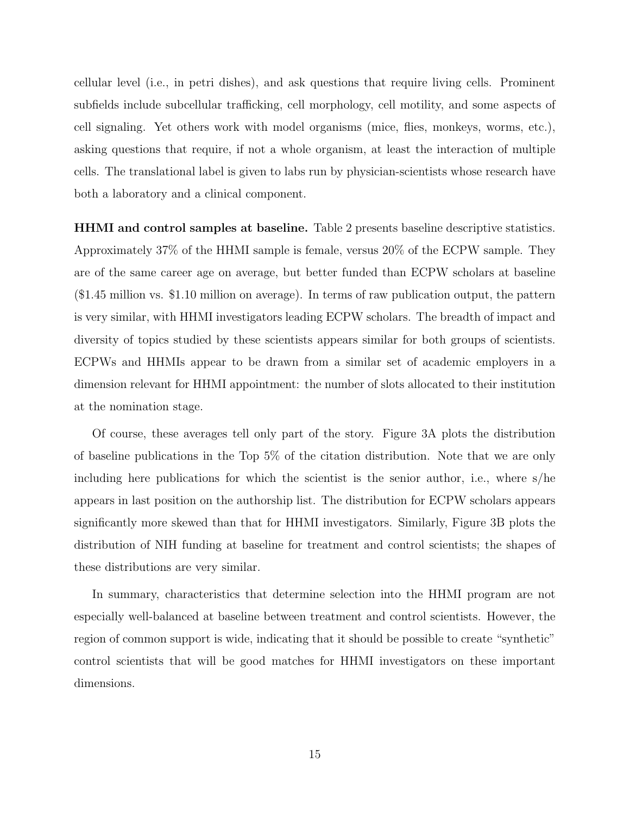cellular level (i.e., in petri dishes), and ask questions that require living cells. Prominent subfields include subcellular trafficking, cell morphology, cell motility, and some aspects of cell signaling. Yet others work with model organisms (mice, flies, monkeys, worms, etc.), asking questions that require, if not a whole organism, at least the interaction of multiple cells. The translational label is given to labs run by physician-scientists whose research have both a laboratory and a clinical component.

HHMI and control samples at baseline. Table 2 presents baseline descriptive statistics. Approximately 37% of the HHMI sample is female, versus 20% of the ECPW sample. They are of the same career age on average, but better funded than ECPW scholars at baseline (\$1.45 million vs. \$1.10 million on average). In terms of raw publication output, the pattern is very similar, with HHMI investigators leading ECPW scholars. The breadth of impact and diversity of topics studied by these scientists appears similar for both groups of scientists. ECPWs and HHMIs appear to be drawn from a similar set of academic employers in a dimension relevant for HHMI appointment: the number of slots allocated to their institution at the nomination stage.

Of course, these averages tell only part of the story. Figure 3A plots the distribution of baseline publications in the Top 5% of the citation distribution. Note that we are only including here publications for which the scientist is the senior author, i.e., where s/he appears in last position on the authorship list. The distribution for ECPW scholars appears significantly more skewed than that for HHMI investigators. Similarly, Figure 3B plots the distribution of NIH funding at baseline for treatment and control scientists; the shapes of these distributions are very similar.

In summary, characteristics that determine selection into the HHMI program are not especially well-balanced at baseline between treatment and control scientists. However, the region of common support is wide, indicating that it should be possible to create "synthetic" control scientists that will be good matches for HHMI investigators on these important dimensions.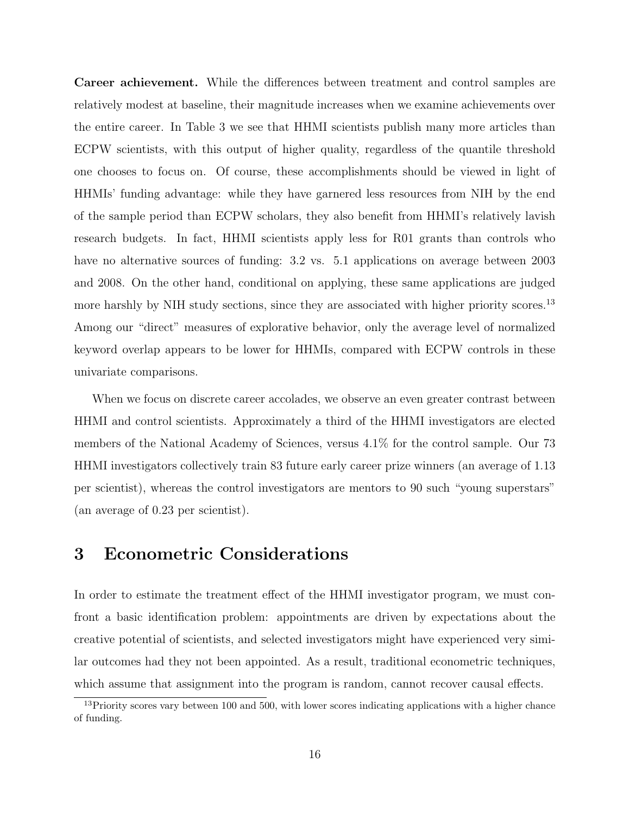Career achievement. While the differences between treatment and control samples are relatively modest at baseline, their magnitude increases when we examine achievements over the entire career. In Table 3 we see that HHMI scientists publish many more articles than ECPW scientists, with this output of higher quality, regardless of the quantile threshold one chooses to focus on. Of course, these accomplishments should be viewed in light of HHMIs' funding advantage: while they have garnered less resources from NIH by the end of the sample period than ECPW scholars, they also benefit from HHMI's relatively lavish research budgets. In fact, HHMI scientists apply less for R01 grants than controls who have no alternative sources of funding: 3.2 vs. 5.1 applications on average between 2003 and 2008. On the other hand, conditional on applying, these same applications are judged more harshly by NIH study sections, since they are associated with higher priority scores.<sup>13</sup> Among our "direct" measures of explorative behavior, only the average level of normalized keyword overlap appears to be lower for HHMIs, compared with ECPW controls in these univariate comparisons.

When we focus on discrete career accolades, we observe an even greater contrast between HHMI and control scientists. Approximately a third of the HHMI investigators are elected members of the National Academy of Sciences, versus 4.1% for the control sample. Our 73 HHMI investigators collectively train 83 future early career prize winners (an average of 1.13 per scientist), whereas the control investigators are mentors to 90 such "young superstars" (an average of 0.23 per scientist).

#### 3 Econometric Considerations

In order to estimate the treatment effect of the HHMI investigator program, we must confront a basic identification problem: appointments are driven by expectations about the creative potential of scientists, and selected investigators might have experienced very similar outcomes had they not been appointed. As a result, traditional econometric techniques, which assume that assignment into the program is random, cannot recover causal effects.

<sup>&</sup>lt;sup>13</sup>Priority scores vary between 100 and 500, with lower scores indicating applications with a higher chance of funding.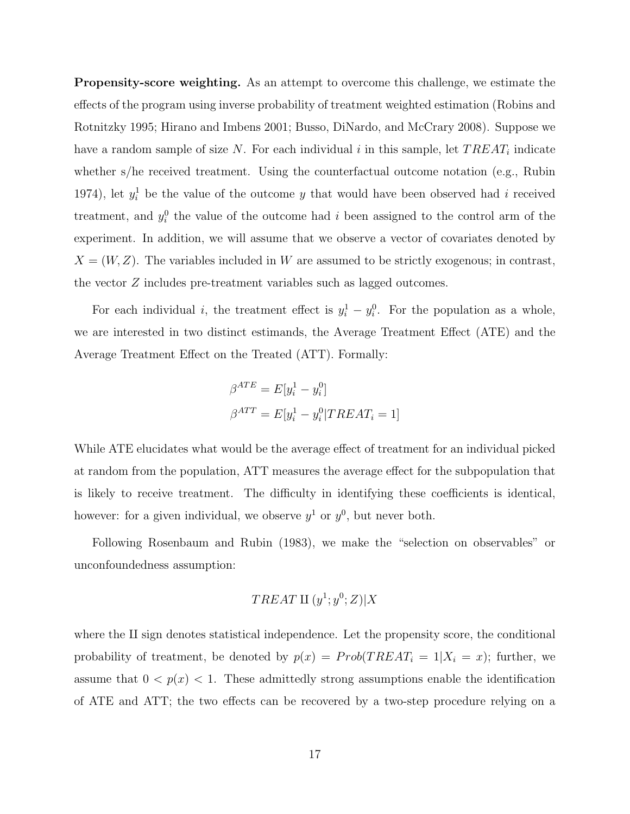Propensity-score weighting. As an attempt to overcome this challenge, we estimate the effects of the program using inverse probability of treatment weighted estimation (Robins and Rotnitzky 1995; Hirano and Imbens 2001; Busso, DiNardo, and McCrary 2008). Suppose we have a random sample of size N. For each individual  $i$  in this sample, let  $TREAT_i$  indicate whether s/he received treatment. Using the counterfactual outcome notation (e.g., Rubin 1974), let  $y_i^1$  be the value of the outcome y that would have been observed had i received treatment, and  $y_i^0$  the value of the outcome had i been assigned to the control arm of the experiment. In addition, we will assume that we observe a vector of covariates denoted by  $X = (W, Z)$ . The variables included in W are assumed to be strictly exogenous; in contrast, the vector Z includes pre-treatment variables such as lagged outcomes.

For each individual *i*, the treatment effect is  $y_i^1 - y_i^0$ . For the population as a whole, we are interested in two distinct estimands, the Average Treatment Effect (ATE) and the Average Treatment Effect on the Treated (ATT). Formally:

$$
\beta^{ATE} = E[y_i^1 - y_i^0]
$$

$$
\beta^{ATT} = E[y_i^1 - y_i^0 | TREAT_i = 1]
$$

While ATE elucidates what would be the average effect of treatment for an individual picked at random from the population, ATT measures the average effect for the subpopulation that is likely to receive treatment. The difficulty in identifying these coefficients is identical, however: for a given individual, we observe  $y^1$  or  $y^0$ , but never both.

Following Rosenbaum and Rubin (1983), we make the "selection on observables" or unconfoundedness assumption:

$$
TREAT \amalg (y^1; y^0; Z) | X
$$

where the  $\rm{II}$  sign denotes statistical independence. Let the propensity score, the conditional probability of treatment, be denoted by  $p(x) = Prob(T REAL_i = 1 | X_i = x)$ ; further, we assume that  $0 < p(x) < 1$ . These admittedly strong assumptions enable the identification of ATE and ATT; the two effects can be recovered by a two-step procedure relying on a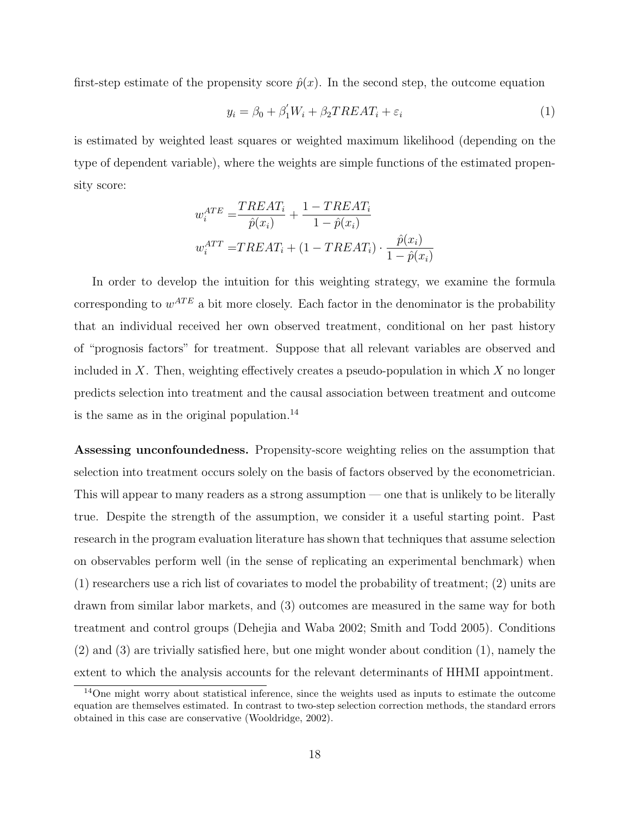first-step estimate of the propensity score  $\hat{p}(x)$ . In the second step, the outcome equation

$$
y_i = \beta_0 + \beta_1' W_i + \beta_2 T R E A T_i + \varepsilon_i \tag{1}
$$

is estimated by weighted least squares or weighted maximum likelihood (depending on the type of dependent variable), where the weights are simple functions of the estimated propensity score:

$$
w_i^{ATE} = \frac{TREAT_i}{\hat{p}(x_i)} + \frac{1 - TREAT_i}{1 - \hat{p}(x_i)}
$$

$$
w_i^{ATT} = TREAT_i + (1 - TREAT_i) \cdot \frac{\hat{p}(x_i)}{1 - \hat{p}(x_i)}
$$

In order to develop the intuition for this weighting strategy, we examine the formula corresponding to  $w^{ATE}$  a bit more closely. Each factor in the denominator is the probability that an individual received her own observed treatment, conditional on her past history of "prognosis factors" for treatment. Suppose that all relevant variables are observed and included in X. Then, weighting effectively creates a pseudo-population in which  $X$  no longer predicts selection into treatment and the causal association between treatment and outcome is the same as in the original population.<sup>14</sup>

Assessing unconfoundedness. Propensity-score weighting relies on the assumption that selection into treatment occurs solely on the basis of factors observed by the econometrician. This will appear to many readers as a strong assumption — one that is unlikely to be literally true. Despite the strength of the assumption, we consider it a useful starting point. Past research in the program evaluation literature has shown that techniques that assume selection on observables perform well (in the sense of replicating an experimental benchmark) when (1) researchers use a rich list of covariates to model the probability of treatment; (2) units are drawn from similar labor markets, and (3) outcomes are measured in the same way for both treatment and control groups (Dehejia and Waba 2002; Smith and Todd 2005). Conditions (2) and (3) are trivially satisfied here, but one might wonder about condition (1), namely the extent to which the analysis accounts for the relevant determinants of HHMI appointment.

<sup>14</sup>One might worry about statistical inference, since the weights used as inputs to estimate the outcome equation are themselves estimated. In contrast to two-step selection correction methods, the standard errors obtained in this case are conservative (Wooldridge, 2002).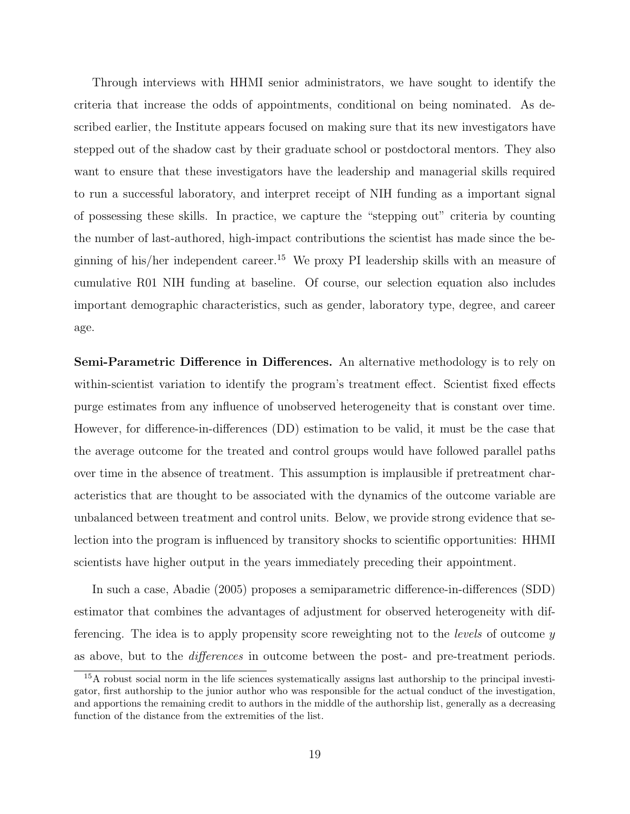Through interviews with HHMI senior administrators, we have sought to identify the criteria that increase the odds of appointments, conditional on being nominated. As described earlier, the Institute appears focused on making sure that its new investigators have stepped out of the shadow cast by their graduate school or postdoctoral mentors. They also want to ensure that these investigators have the leadership and managerial skills required to run a successful laboratory, and interpret receipt of NIH funding as a important signal of possessing these skills. In practice, we capture the "stepping out" criteria by counting the number of last-authored, high-impact contributions the scientist has made since the beginning of his/her independent career.<sup>15</sup> We proxy PI leadership skills with an measure of cumulative R01 NIH funding at baseline. Of course, our selection equation also includes important demographic characteristics, such as gender, laboratory type, degree, and career age.

Semi-Parametric Difference in Differences. An alternative methodology is to rely on within-scientist variation to identify the program's treatment effect. Scientist fixed effects purge estimates from any influence of unobserved heterogeneity that is constant over time. However, for difference-in-differences (DD) estimation to be valid, it must be the case that the average outcome for the treated and control groups would have followed parallel paths over time in the absence of treatment. This assumption is implausible if pretreatment characteristics that are thought to be associated with the dynamics of the outcome variable are unbalanced between treatment and control units. Below, we provide strong evidence that selection into the program is influenced by transitory shocks to scientific opportunities: HHMI scientists have higher output in the years immediately preceding their appointment.

In such a case, Abadie (2005) proposes a semiparametric difference-in-differences (SDD) estimator that combines the advantages of adjustment for observed heterogeneity with differencing. The idea is to apply propensity score reweighting not to the levels of outcome y as above, but to the differences in outcome between the post- and pre-treatment periods.

<sup>&</sup>lt;sup>15</sup>A robust social norm in the life sciences systematically assigns last authorship to the principal investigator, first authorship to the junior author who was responsible for the actual conduct of the investigation, and apportions the remaining credit to authors in the middle of the authorship list, generally as a decreasing function of the distance from the extremities of the list.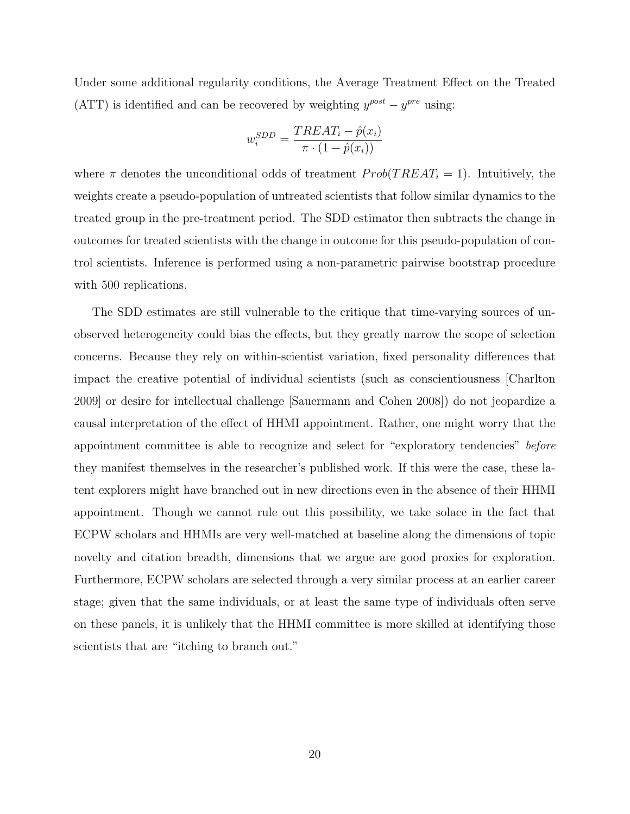Under some additional regularity conditions, the Average Treatment Effect on the Treated (ATT) is identified and can be recovered by weighting  $y^{post} - y^{pre}$  using:

$$
w_i^{SDD} = \frac{TREAT_i - \hat{p}(x_i)}{\pi \cdot (1 - \hat{p}(x_i))}
$$

where  $\pi$  denotes the unconditional odds of treatment  $Prob(PREAT_i = 1)$ . Intuitively, the weights create a pseudo-population of untreated scientists that follow similar dynamics to the treated group in the pre-treatment period. The SDD estimator then subtracts the change in outcomes for treated scientists with the change in outcome for this pseudo-population of control scientists. Inference is performed using a non-parametric pairwise bootstrap procedure with 500 replications.

The SDD estimates are still vulnerable to the critique that time-varying sources of unobserved heterogeneity could bias the effects, but they greatly narrow the scope of selection concerns. Because they rely on within-scientist variation, fixed personality differences that impact the creative potential of individual scientists (such as conscientiousness [Charlton 2009] or desire for intellectual challenge [Sauermann and Cohen 2008]) do not jeopardize a causal interpretation of the effect of HHMI appointment. Rather, one might worry that the appointment committee is able to recognize and select for "exploratory tendencies" before they manifest themselves in the researcher's published work. If this were the case, these latent explorers might have branched out in new directions even in the absence of their HHMI appointment. Though we cannot rule out this possibility, we take solace in the fact that ECPW scholars and HHMIs are very well-matched at baseline along the dimensions of topic novelty and citation breadth, dimensions that we argue are good proxies for exploration. Furthermore, ECPW scholars are selected through a very similar process at an earlier career stage; given that the same individuals, or at least the same type of individuals often serve on these panels, it is unlikely that the HHMI committee is more skilled at identifying those scientists that are "itching to branch out."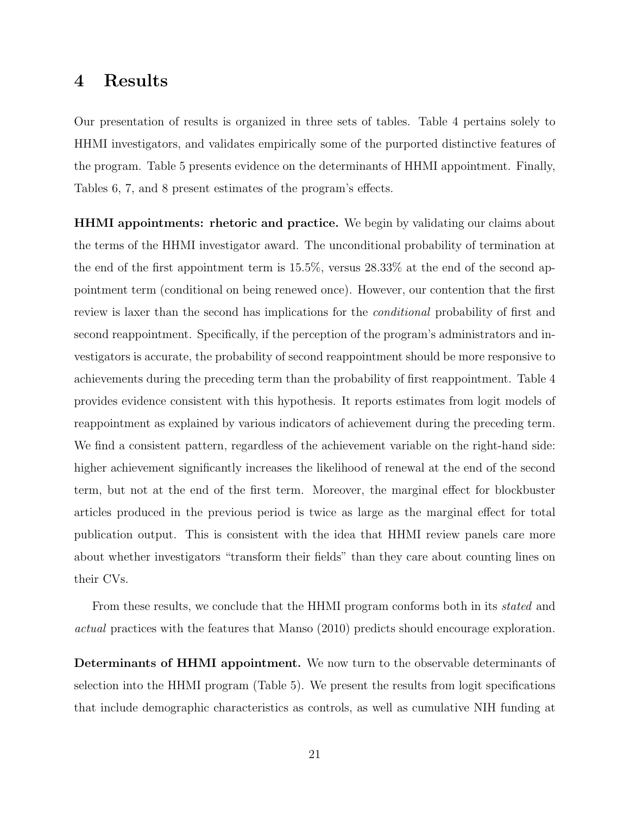## 4 Results

Our presentation of results is organized in three sets of tables. Table 4 pertains solely to HHMI investigators, and validates empirically some of the purported distinctive features of the program. Table 5 presents evidence on the determinants of HHMI appointment. Finally, Tables 6, 7, and 8 present estimates of the program's effects.

HHMI appointments: rhetoric and practice. We begin by validating our claims about the terms of the HHMI investigator award. The unconditional probability of termination at the end of the first appointment term is 15.5%, versus 28.33% at the end of the second appointment term (conditional on being renewed once). However, our contention that the first review is laxer than the second has implications for the *conditional* probability of first and second reappointment. Specifically, if the perception of the program's administrators and investigators is accurate, the probability of second reappointment should be more responsive to achievements during the preceding term than the probability of first reappointment. Table 4 provides evidence consistent with this hypothesis. It reports estimates from logit models of reappointment as explained by various indicators of achievement during the preceding term. We find a consistent pattern, regardless of the achievement variable on the right-hand side: higher achievement significantly increases the likelihood of renewal at the end of the second term, but not at the end of the first term. Moreover, the marginal effect for blockbuster articles produced in the previous period is twice as large as the marginal effect for total publication output. This is consistent with the idea that HHMI review panels care more about whether investigators "transform their fields" than they care about counting lines on their CVs.

From these results, we conclude that the HHMI program conforms both in its *stated* and actual practices with the features that Manso (2010) predicts should encourage exploration.

Determinants of HHMI appointment. We now turn to the observable determinants of selection into the HHMI program (Table 5). We present the results from logit specifications that include demographic characteristics as controls, as well as cumulative NIH funding at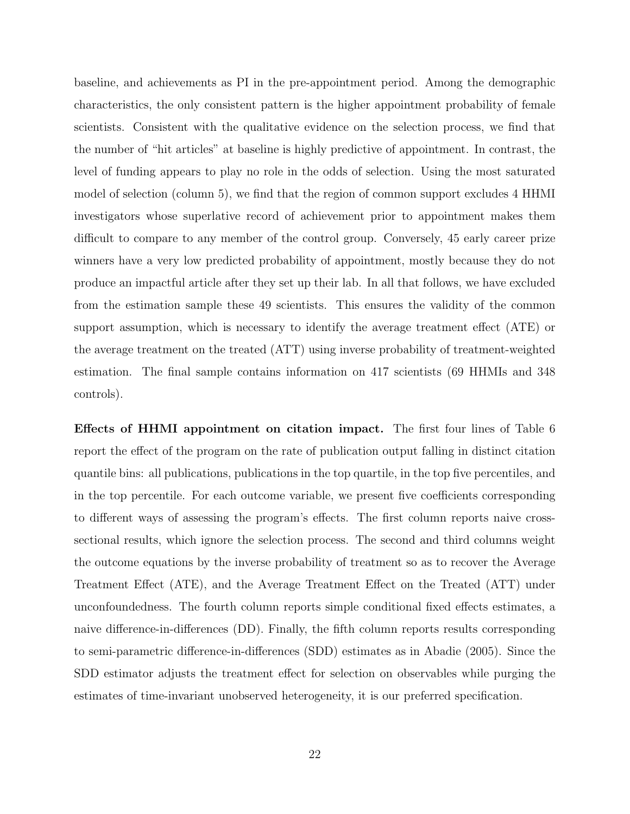baseline, and achievements as PI in the pre-appointment period. Among the demographic characteristics, the only consistent pattern is the higher appointment probability of female scientists. Consistent with the qualitative evidence on the selection process, we find that the number of "hit articles" at baseline is highly predictive of appointment. In contrast, the level of funding appears to play no role in the odds of selection. Using the most saturated model of selection (column 5), we find that the region of common support excludes 4 HHMI investigators whose superlative record of achievement prior to appointment makes them difficult to compare to any member of the control group. Conversely, 45 early career prize winners have a very low predicted probability of appointment, mostly because they do not produce an impactful article after they set up their lab. In all that follows, we have excluded from the estimation sample these 49 scientists. This ensures the validity of the common support assumption, which is necessary to identify the average treatment effect (ATE) or the average treatment on the treated (ATT) using inverse probability of treatment-weighted estimation. The final sample contains information on 417 scientists (69 HHMIs and 348 controls).

Effects of HHMI appointment on citation impact. The first four lines of Table 6 report the effect of the program on the rate of publication output falling in distinct citation quantile bins: all publications, publications in the top quartile, in the top five percentiles, and in the top percentile. For each outcome variable, we present five coefficients corresponding to different ways of assessing the program's effects. The first column reports naive crosssectional results, which ignore the selection process. The second and third columns weight the outcome equations by the inverse probability of treatment so as to recover the Average Treatment Effect (ATE), and the Average Treatment Effect on the Treated (ATT) under unconfoundedness. The fourth column reports simple conditional fixed effects estimates, a naive difference-in-differences (DD). Finally, the fifth column reports results corresponding to semi-parametric difference-in-differences (SDD) estimates as in Abadie (2005). Since the SDD estimator adjusts the treatment effect for selection on observables while purging the estimates of time-invariant unobserved heterogeneity, it is our preferred specification.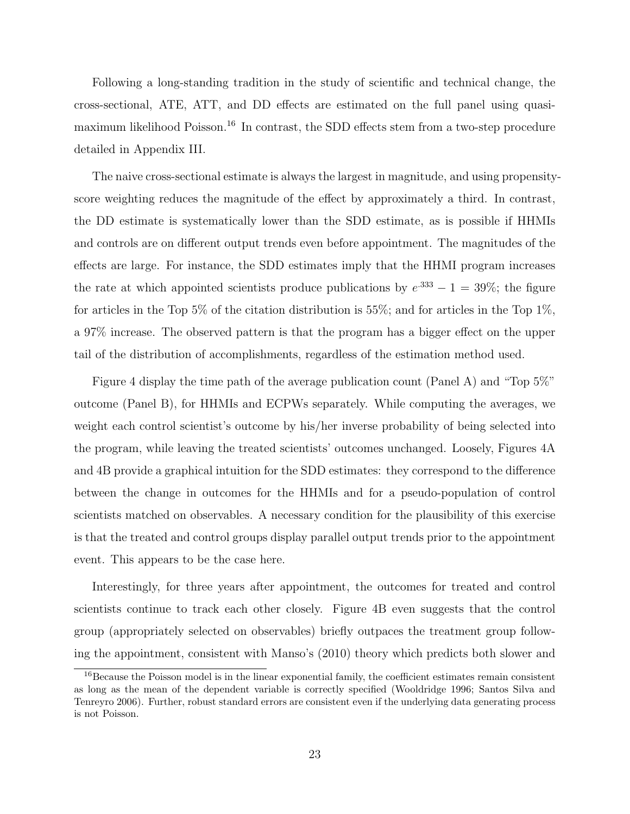Following a long-standing tradition in the study of scientific and technical change, the cross-sectional, ATE, ATT, and DD effects are estimated on the full panel using quasimaximum likelihood Poisson.<sup>16</sup> In contrast, the SDD effects stem from a two-step procedure detailed in Appendix III.

The naive cross-sectional estimate is always the largest in magnitude, and using propensityscore weighting reduces the magnitude of the effect by approximately a third. In contrast, the DD estimate is systematically lower than the SDD estimate, as is possible if HHMIs and controls are on different output trends even before appointment. The magnitudes of the effects are large. For instance, the SDD estimates imply that the HHMI program increases the rate at which appointed scientists produce publications by  $e^{.333} - 1 = 39\%$ ; the figure for articles in the Top  $5\%$  of the citation distribution is  $55\%$ ; and for articles in the Top  $1\%$ , a 97% increase. The observed pattern is that the program has a bigger effect on the upper tail of the distribution of accomplishments, regardless of the estimation method used.

Figure 4 display the time path of the average publication count (Panel A) and "Top 5%" outcome (Panel B), for HHMIs and ECPWs separately. While computing the averages, we weight each control scientist's outcome by his/her inverse probability of being selected into the program, while leaving the treated scientists' outcomes unchanged. Loosely, Figures 4A and 4B provide a graphical intuition for the SDD estimates: they correspond to the difference between the change in outcomes for the HHMIs and for a pseudo-population of control scientists matched on observables. A necessary condition for the plausibility of this exercise is that the treated and control groups display parallel output trends prior to the appointment event. This appears to be the case here.

Interestingly, for three years after appointment, the outcomes for treated and control scientists continue to track each other closely. Figure 4B even suggests that the control group (appropriately selected on observables) briefly outpaces the treatment group following the appointment, consistent with Manso's (2010) theory which predicts both slower and

<sup>&</sup>lt;sup>16</sup>Because the Poisson model is in the linear exponential family, the coefficient estimates remain consistent as long as the mean of the dependent variable is correctly specified (Wooldridge 1996; Santos Silva and Tenreyro 2006). Further, robust standard errors are consistent even if the underlying data generating process is not Poisson.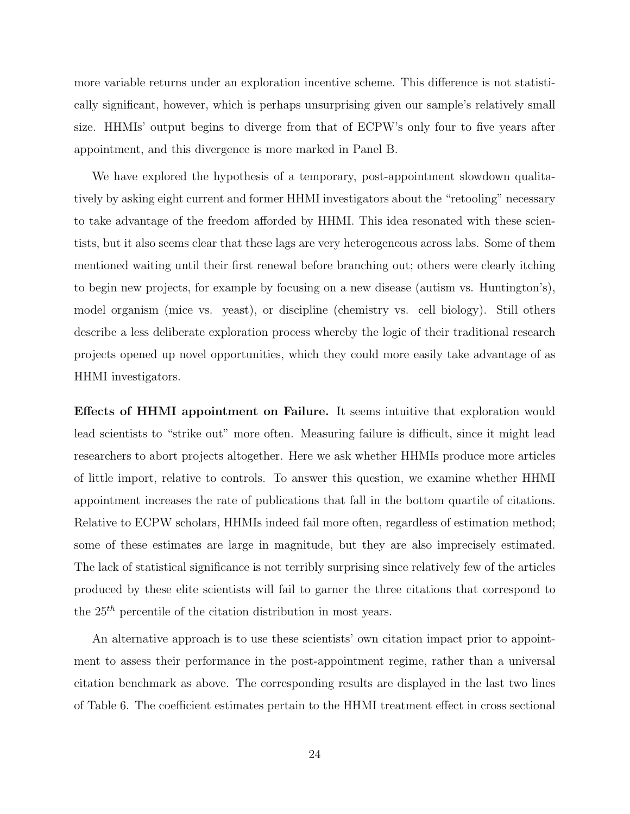more variable returns under an exploration incentive scheme. This difference is not statistically significant, however, which is perhaps unsurprising given our sample's relatively small size. HHMIs' output begins to diverge from that of ECPW's only four to five years after appointment, and this divergence is more marked in Panel B.

We have explored the hypothesis of a temporary, post-appointment slowdown qualitatively by asking eight current and former HHMI investigators about the "retooling" necessary to take advantage of the freedom afforded by HHMI. This idea resonated with these scientists, but it also seems clear that these lags are very heterogeneous across labs. Some of them mentioned waiting until their first renewal before branching out; others were clearly itching to begin new projects, for example by focusing on a new disease (autism vs. Huntington's), model organism (mice vs. yeast), or discipline (chemistry vs. cell biology). Still others describe a less deliberate exploration process whereby the logic of their traditional research projects opened up novel opportunities, which they could more easily take advantage of as HHMI investigators.

Effects of HHMI appointment on Failure. It seems intuitive that exploration would lead scientists to "strike out" more often. Measuring failure is difficult, since it might lead researchers to abort projects altogether. Here we ask whether HHMIs produce more articles of little import, relative to controls. To answer this question, we examine whether HHMI appointment increases the rate of publications that fall in the bottom quartile of citations. Relative to ECPW scholars, HHMIs indeed fail more often, regardless of estimation method; some of these estimates are large in magnitude, but they are also imprecisely estimated. The lack of statistical significance is not terribly surprising since relatively few of the articles produced by these elite scientists will fail to garner the three citations that correspond to the  $25<sup>th</sup>$  percentile of the citation distribution in most years.

An alternative approach is to use these scientists' own citation impact prior to appointment to assess their performance in the post-appointment regime, rather than a universal citation benchmark as above. The corresponding results are displayed in the last two lines of Table 6. The coefficient estimates pertain to the HHMI treatment effect in cross sectional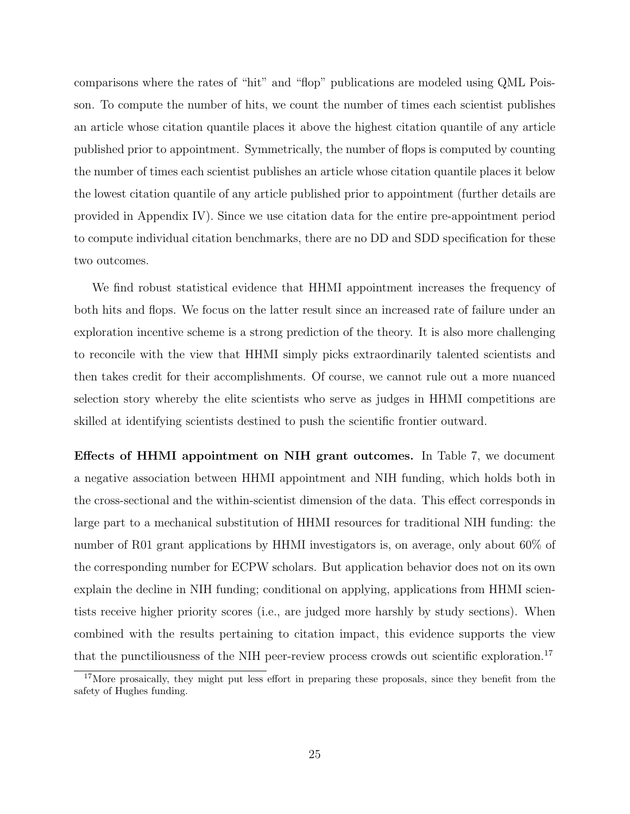comparisons where the rates of "hit" and "flop" publications are modeled using QML Poisson. To compute the number of hits, we count the number of times each scientist publishes an article whose citation quantile places it above the highest citation quantile of any article published prior to appointment. Symmetrically, the number of flops is computed by counting the number of times each scientist publishes an article whose citation quantile places it below the lowest citation quantile of any article published prior to appointment (further details are provided in Appendix IV). Since we use citation data for the entire pre-appointment period to compute individual citation benchmarks, there are no DD and SDD specification for these two outcomes.

We find robust statistical evidence that HHMI appointment increases the frequency of both hits and flops. We focus on the latter result since an increased rate of failure under an exploration incentive scheme is a strong prediction of the theory. It is also more challenging to reconcile with the view that HHMI simply picks extraordinarily talented scientists and then takes credit for their accomplishments. Of course, we cannot rule out a more nuanced selection story whereby the elite scientists who serve as judges in HHMI competitions are skilled at identifying scientists destined to push the scientific frontier outward.

Effects of HHMI appointment on NIH grant outcomes. In Table 7, we document a negative association between HHMI appointment and NIH funding, which holds both in the cross-sectional and the within-scientist dimension of the data. This effect corresponds in large part to a mechanical substitution of HHMI resources for traditional NIH funding: the number of R01 grant applications by HHMI investigators is, on average, only about 60% of the corresponding number for ECPW scholars. But application behavior does not on its own explain the decline in NIH funding; conditional on applying, applications from HHMI scientists receive higher priority scores (i.e., are judged more harshly by study sections). When combined with the results pertaining to citation impact, this evidence supports the view that the punctiliousness of the NIH peer-review process crowds out scientific exploration.<sup>17</sup>

 $17$ More prosaically, they might put less effort in preparing these proposals, since they benefit from the safety of Hughes funding.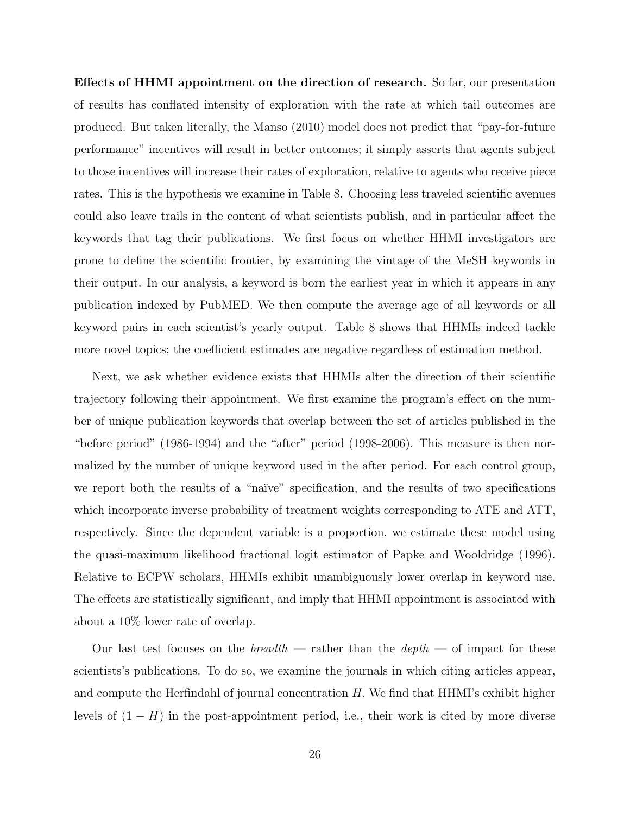Effects of HHMI appointment on the direction of research. So far, our presentation of results has conflated intensity of exploration with the rate at which tail outcomes are produced. But taken literally, the Manso (2010) model does not predict that "pay-for-future performance" incentives will result in better outcomes; it simply asserts that agents subject to those incentives will increase their rates of exploration, relative to agents who receive piece rates. This is the hypothesis we examine in Table 8. Choosing less traveled scientific avenues could also leave trails in the content of what scientists publish, and in particular affect the keywords that tag their publications. We first focus on whether HHMI investigators are prone to define the scientific frontier, by examining the vintage of the MeSH keywords in their output. In our analysis, a keyword is born the earliest year in which it appears in any publication indexed by PubMED. We then compute the average age of all keywords or all keyword pairs in each scientist's yearly output. Table 8 shows that HHMIs indeed tackle more novel topics; the coefficient estimates are negative regardless of estimation method.

Next, we ask whether evidence exists that HHMIs alter the direction of their scientific trajectory following their appointment. We first examine the program's effect on the number of unique publication keywords that overlap between the set of articles published in the "before period" (1986-1994) and the "after" period (1998-2006). This measure is then normalized by the number of unique keyword used in the after period. For each control group, we report both the results of a "naïve" specification, and the results of two specifications which incorporate inverse probability of treatment weights corresponding to ATE and ATT, respectively. Since the dependent variable is a proportion, we estimate these model using the quasi-maximum likelihood fractional logit estimator of Papke and Wooldridge (1996). Relative to ECPW scholars, HHMIs exhibit unambiguously lower overlap in keyword use. The effects are statistically significant, and imply that HHMI appointment is associated with about a 10% lower rate of overlap.

Our last test focuses on the *breadth* — rather than the  $depth$  — of impact for these scientists's publications. To do so, we examine the journals in which citing articles appear, and compute the Herfindahl of journal concentration  $H$ . We find that HHMI's exhibit higher levels of  $(1 - H)$  in the post-appointment period, i.e., their work is cited by more diverse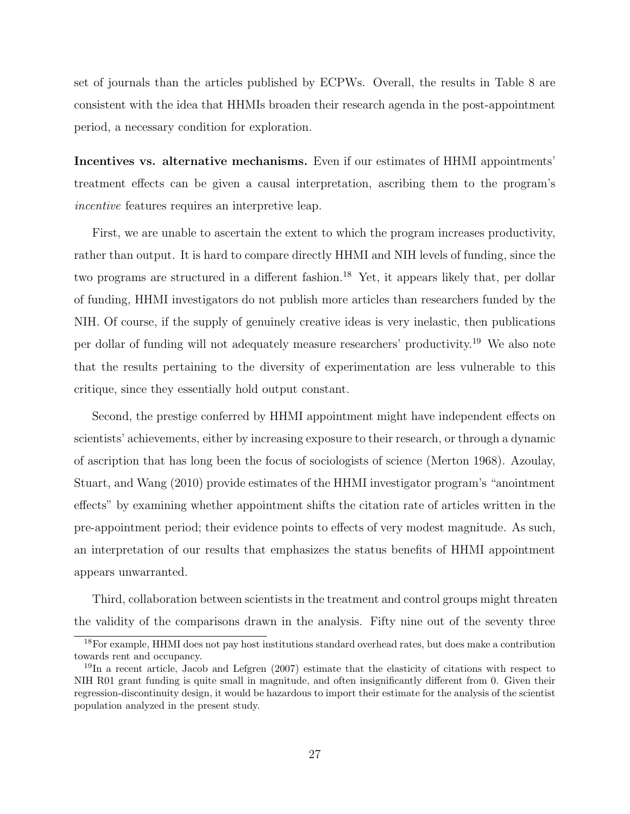set of journals than the articles published by ECPWs. Overall, the results in Table 8 are consistent with the idea that HHMIs broaden their research agenda in the post-appointment period, a necessary condition for exploration.

Incentives vs. alternative mechanisms. Even if our estimates of HHMI appointments' treatment effects can be given a causal interpretation, ascribing them to the program's incentive features requires an interpretive leap.

First, we are unable to ascertain the extent to which the program increases productivity, rather than output. It is hard to compare directly HHMI and NIH levels of funding, since the two programs are structured in a different fashion.<sup>18</sup> Yet, it appears likely that, per dollar of funding, HHMI investigators do not publish more articles than researchers funded by the NIH. Of course, if the supply of genuinely creative ideas is very inelastic, then publications per dollar of funding will not adequately measure researchers' productivity.<sup>19</sup> We also note that the results pertaining to the diversity of experimentation are less vulnerable to this critique, since they essentially hold output constant.

Second, the prestige conferred by HHMI appointment might have independent effects on scientists' achievements, either by increasing exposure to their research, or through a dynamic of ascription that has long been the focus of sociologists of science (Merton 1968). Azoulay, Stuart, and Wang (2010) provide estimates of the HHMI investigator program's "anointment effects" by examining whether appointment shifts the citation rate of articles written in the pre-appointment period; their evidence points to effects of very modest magnitude. As such, an interpretation of our results that emphasizes the status benefits of HHMI appointment appears unwarranted.

Third, collaboration between scientists in the treatment and control groups might threaten the validity of the comparisons drawn in the analysis. Fifty nine out of the seventy three

<sup>18</sup>For example, HHMI does not pay host institutions standard overhead rates, but does make a contribution towards rent and occupancy.

 $19$ In a recent article, Jacob and Lefgren (2007) estimate that the elasticity of citations with respect to NIH R01 grant funding is quite small in magnitude, and often insignificantly different from 0. Given their regression-discontinuity design, it would be hazardous to import their estimate for the analysis of the scientist population analyzed in the present study.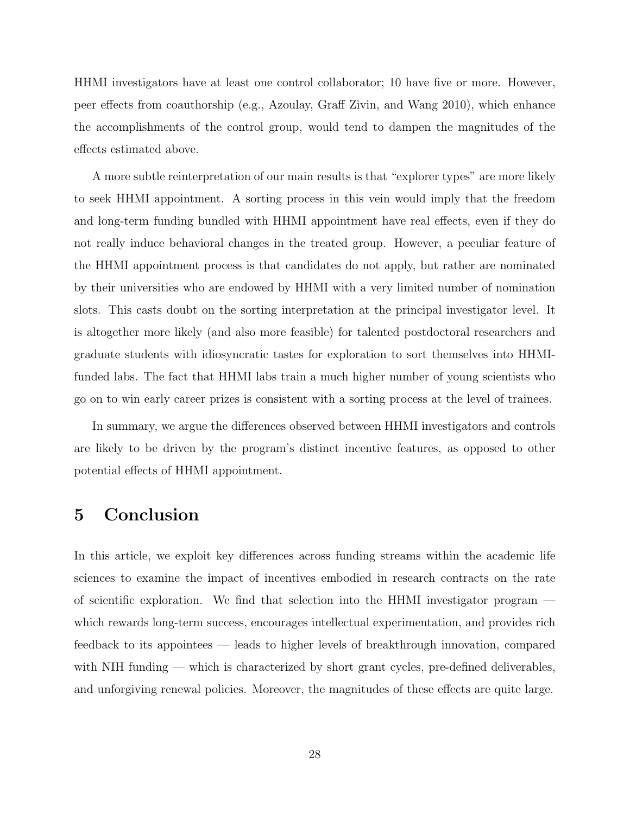HHMI investigators have at least one control collaborator; 10 have five or more. However, peer effects from coauthorship (e.g., Azoulay, Graff Zivin, and Wang 2010), which enhance the accomplishments of the control group, would tend to dampen the magnitudes of the effects estimated above.

A more subtle reinterpretation of our main results is that "explorer types" are more likely to seek HHMI appointment. A sorting process in this vein would imply that the freedom and long-term funding bundled with HHMI appointment have real effects, even if they do not really induce behavioral changes in the treated group. However, a peculiar feature of the HHMI appointment process is that candidates do not apply, but rather are nominated by their universities who are endowed by HHMI with a very limited number of nomination slots. This casts doubt on the sorting interpretation at the principal investigator level. It is altogether more likely (and also more feasible) for talented postdoctoral researchers and graduate students with idiosyncratic tastes for exploration to sort themselves into HHMIfunded labs. The fact that HHMI labs train a much higher number of young scientists who go on to win early career prizes is consistent with a sorting process at the level of trainees.

In summary, we argue the differences observed between HHMI investigators and controls are likely to be driven by the program's distinct incentive features, as opposed to other potential effects of HHMI appointment.

#### 5 Conclusion

In this article, we exploit key differences across funding streams within the academic life sciences to examine the impact of incentives embodied in research contracts on the rate of scientific exploration. We find that selection into the HHMI investigator program which rewards long-term success, encourages intellectual experimentation, and provides rich feedback to its appointees — leads to higher levels of breakthrough innovation, compared with NIH funding — which is characterized by short grant cycles, pre-defined deliverables, and unforgiving renewal policies. Moreover, the magnitudes of these effects are quite large.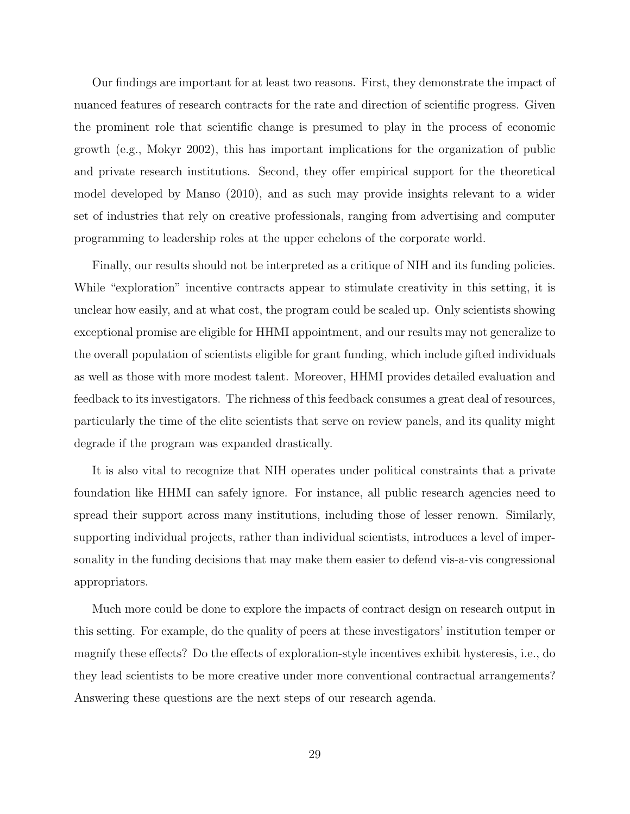Our findings are important for at least two reasons. First, they demonstrate the impact of nuanced features of research contracts for the rate and direction of scientific progress. Given the prominent role that scientific change is presumed to play in the process of economic growth (e.g., Mokyr 2002), this has important implications for the organization of public and private research institutions. Second, they offer empirical support for the theoretical model developed by Manso (2010), and as such may provide insights relevant to a wider set of industries that rely on creative professionals, ranging from advertising and computer programming to leadership roles at the upper echelons of the corporate world.

Finally, our results should not be interpreted as a critique of NIH and its funding policies. While "exploration" incentive contracts appear to stimulate creativity in this setting, it is unclear how easily, and at what cost, the program could be scaled up. Only scientists showing exceptional promise are eligible for HHMI appointment, and our results may not generalize to the overall population of scientists eligible for grant funding, which include gifted individuals as well as those with more modest talent. Moreover, HHMI provides detailed evaluation and feedback to its investigators. The richness of this feedback consumes a great deal of resources, particularly the time of the elite scientists that serve on review panels, and its quality might degrade if the program was expanded drastically.

It is also vital to recognize that NIH operates under political constraints that a private foundation like HHMI can safely ignore. For instance, all public research agencies need to spread their support across many institutions, including those of lesser renown. Similarly, supporting individual projects, rather than individual scientists, introduces a level of impersonality in the funding decisions that may make them easier to defend vis-a-vis congressional appropriators.

Much more could be done to explore the impacts of contract design on research output in this setting. For example, do the quality of peers at these investigators' institution temper or magnify these effects? Do the effects of exploration-style incentives exhibit hysteresis, i.e., do they lead scientists to be more creative under more conventional contractual arrangements? Answering these questions are the next steps of our research agenda.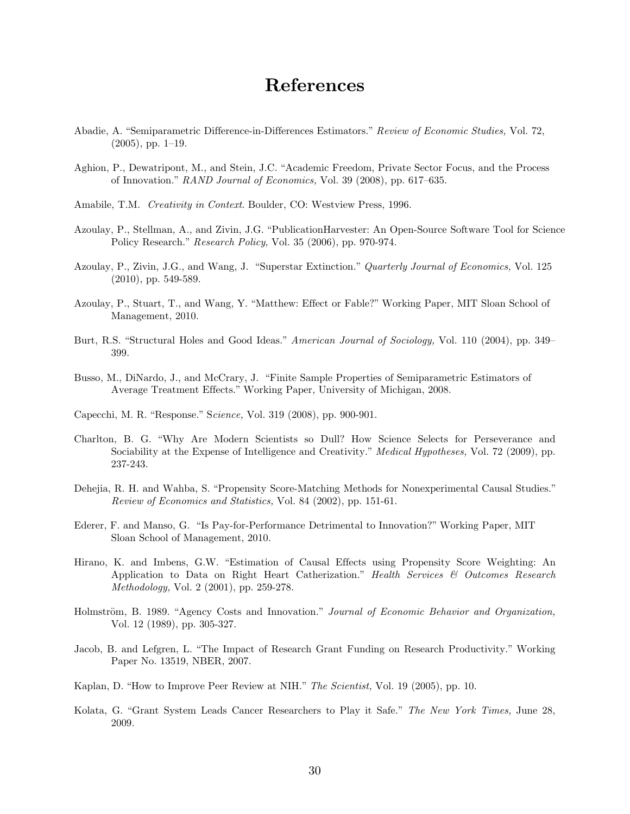## **References**

- Abadie, A. "Semiparametric Difference-in-Differences Estimators." *Review of Economic Studies,* Vol. 72,  $(2005)$ , pp. 1–19.
- Aghion, P., Dewatripont, M., and Stein, J.C. "Academic Freedom, Private Sector Focus, and the Process of Innovation." *RAND Journal of Economics,* Vol. 39 (2008), pp. 617–635.
- Amabile, T.M. *Creativity in Context*. Boulder, CO: Westview Press, 1996.
- Azoulay, P., Stellman, A., and Zivin, J.G. "PublicationHarvester: An Open-Source Software Tool for Science Policy Research." *Research Policy*, Vol. 35 (2006), pp. 970-974.
- Azoulay, P., Zivin, J.G., and Wang, J. "Superstar Extinction." *Quarterly Journal of Economics,* Vol. 125 (2010), pp. 549-589.
- Azoulay, P., Stuart, T., and Wang, Y. "Matthew: Effect or Fable?" Working Paper, MIT Sloan School of Management, 2010.
- Burt, R.S. "Structural Holes and Good Ideas." *American Journal of Sociology,* Vol. 110 (2004), pp. 349– 399.
- Busso, M., DiNardo, J., and McCrary, J. "Finite Sample Properties of Semiparametric Estimators of Average Treatment Effects." Working Paper, University of Michigan, 2008.
- Capecchi, M. R. "Response." S*cience,* Vol. 319 (2008), pp. 900-901.
- Charlton, B. G. "Why Are Modern Scientists so Dull? How Science Selects for Perseverance and Sociability at the Expense of Intelligence and Creativity." *Medical Hypotheses,* Vol. 72 (2009), pp. 237-243.
- Dehejia, R. H. and Wahba, S. "Propensity Score-Matching Methods for Nonexperimental Causal Studies." *Review of Economics and Statistics,* Vol. 84 (2002), pp. 151-61.
- Ederer, F. and Manso, G. "Is Pay-for-Performance Detrimental to Innovation?" Working Paper, MIT Sloan School of Management, 2010.
- Hirano, K. and Imbens, G.W. "Estimation of Causal Effects using Propensity Score Weighting: An Application to Data on Right Heart Catherization." *Health Services & Outcomes Research Methodology,* Vol. 2 (2001), pp. 259-278.
- Holmström, B. 1989. "Agency Costs and Innovation." *Journal of Economic Behavior and Organization,* Vol. 12 (1989), pp. 305-327.
- Jacob, B. and Lefgren, L. "The Impact of Research Grant Funding on Research Productivity." Working Paper No. 13519, NBER, 2007.
- Kaplan, D. "How to Improve Peer Review at NIH." *The Scientist,* Vol. 19 (2005), pp. 10.
- Kolata, G. "Grant System Leads Cancer Researchers to Play it Safe." *The New York Times,* June 28, 2009.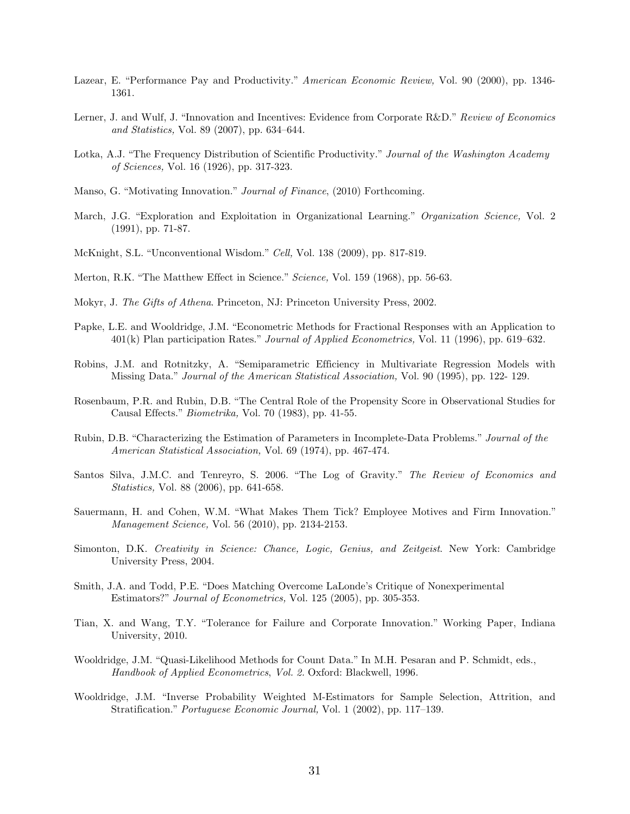- Lazear, E. "Performance Pay and Productivity." *American Economic Review,* Vol. 90 (2000), pp. 1346- 1361.
- Lerner, J. and Wulf, J. "Innovation and Incentives: Evidence from Corporate R&D." *Review of Economics and Statistics,* Vol. 89 (2007), pp. 634–644.
- Lotka, A.J. "The Frequency Distribution of Scientific Productivity." *Journal of the Washington Academy of Sciences,* Vol. 16 (1926), pp. 317-323.
- Manso, G. "Motivating Innovation." *Journal of Finance*, (2010) Forthcoming.
- March, J.G. "Exploration and Exploitation in Organizational Learning." *Organization Science,* Vol. 2 (1991), pp. 71-87.
- McKnight, S.L. "Unconventional Wisdom." *Cell,* Vol. 138 (2009), pp. 817-819.
- Merton, R.K. "The Matthew Effect in Science." *Science,* Vol. 159 (1968), pp. 56-63.
- Mokyr, J. *The Gifts of Athena*. Princeton, NJ: Princeton University Press, 2002.
- Papke, L.E. and Wooldridge, J.M. "Econometric Methods for Fractional Responses with an Application to 401(k) Plan participation Rates." *Journal of Applied Econometrics,* Vol. 11 (1996), pp. 619–632.
- Robins, J.M. and Rotnitzky, A. "Semiparametric Efficiency in Multivariate Regression Models with Missing Data." *Journal of the American Statistical Association,* Vol. 90 (1995), pp. 122- 129.
- Rosenbaum, P.R. and Rubin, D.B. "The Central Role of the Propensity Score in Observational Studies for Causal Effects." *Biometrika,* Vol. 70 (1983), pp. 41-55.
- Rubin, D.B. "Characterizing the Estimation of Parameters in Incomplete-Data Problems." *Journal of the American Statistical Association,* Vol. 69 (1974), pp. 467-474.
- Santos Silva, J.M.C. and Tenreyro, S. 2006. "The Log of Gravity." *The Review of Economics and Statistics,* Vol. 88 (2006), pp. 641-658.
- Sauermann, H. and Cohen, W.M. "What Makes Them Tick? Employee Motives and Firm Innovation." *Management Science,* Vol. 56 (2010), pp. 2134-2153.
- Simonton, D.K. *Creativity in Science: Chance, Logic, Genius, and Zeitgeist*. New York: Cambridge University Press, 2004.
- Smith, J.A. and Todd, P.E. "Does Matching Overcome LaLonde's Critique of Nonexperimental Estimators?" *Journal of Econometrics,* Vol. 125 (2005), pp. 305-353.
- Tian, X. and Wang, T.Y. "Tolerance for Failure and Corporate Innovation." Working Paper, Indiana University, 2010.
- Wooldridge, J.M. "Quasi-Likelihood Methods for Count Data." In M.H. Pesaran and P. Schmidt, eds., *Handbook of Applied Econometrics*, *Vol. 2.* Oxford: Blackwell, 1996.
- Wooldridge, J.M. "Inverse Probability Weighted M-Estimators for Sample Selection, Attrition, and Stratification." *Portuguese Economic Journal,* Vol. 1 (2002), pp. 117–139.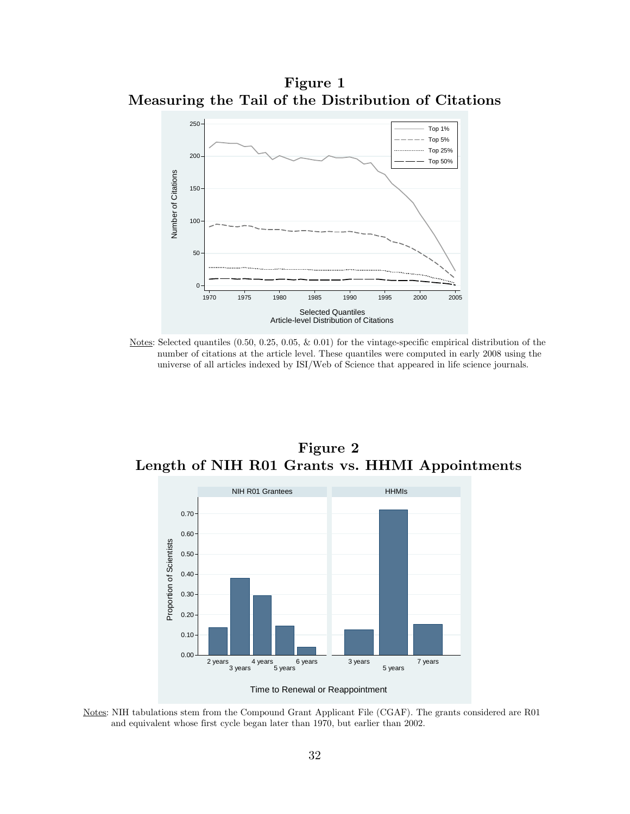**Figure 1 Measuring the Tail of the Distribution of Citations** 



Notes: Selected quantiles (0.50, 0.25, 0.05, & 0.01) for the vintage-specific empirical distribution of the number of citations at the article level. These quantiles were computed in early 2008 using the universe of all articles indexed by ISI/Web of Science that appeared in life science journals.

**Figure 2 Length of NIH R01 Grants vs. HHMI Appointments** 





Notes: NIH tabulations stem from the Compound Grant Applicant File (CGAF). The grants considered are R01 and equivalent whose first cycle began later than 1970, but earlier than 2002.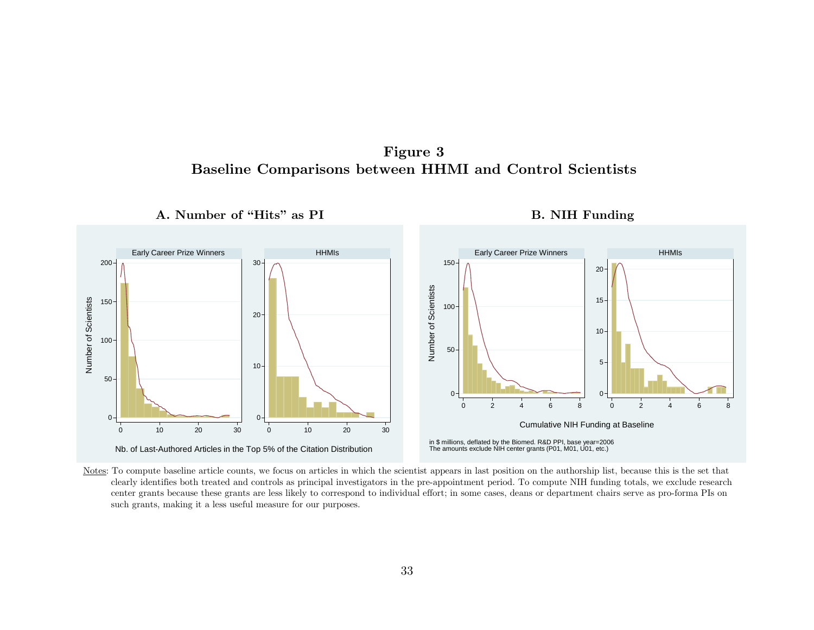**Figure 3 Baseline Comparisons between HHMI and Control Scientists** 



Notes: To compute baseline article counts, we focus on articles in which the scientist appears in last position on the authorship list, because this is the set that clearly identifies both treated and controls as principal investigators in the pre-appointment period. To compute NIH funding totals, we exclude research center grants because these grants are less likely to correspond to individual effort; in some cases, deans or department chairs serve as pro-forma PIs on such grants, making it a less useful measure for our purposes.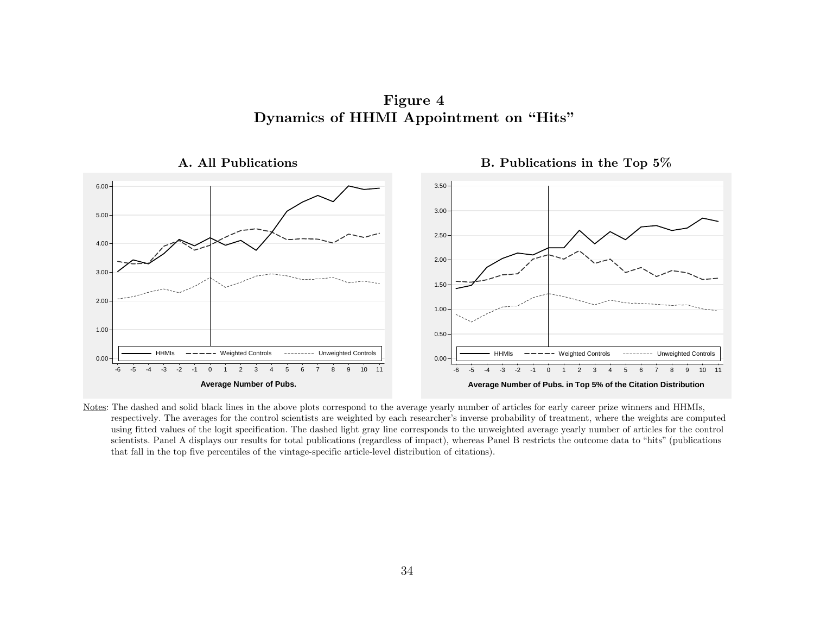**Figure 4 Dynamics of HHMI Appointment on "Hits"** 

#### 0.00  $1.00 -$ 2.003.00 4.00 5.00  $6.00 -$ -6 -5 -4 -3 -2 -1 0 1 2 3 4 5 6 7 8 9 10 11 **Average Number of Pubs.** HHMIs ----- Weighted Controls -------- Unweighted Controls  $0.00$ 0.50 1.00 1.50 2.00 2.50 3.00 3.50 -6 -5 -4 -3 -2 -1 0 1 2 3 4 5 6 7 8 9 10 11 **Average Number of Pubs. in Top 5% of the Citation Distribution** HHMIs ----- Weighted Controls -------- Unweighted Controls

Notes: The dashed and solid black lines in the above plots correspond to the average yearly number of articles for early career prize winners and HHMIs, respectively. The averages for the control scientists are weighted by each researcher's inverse probability of treatment, where the weights are computed using fitted values of the logit specification. The dashed light gray line corresponds to the unweighted average yearly number of articles for the control scientists. Panel A displays our results for total publications (regardless of impact), whereas Panel B restricts the outcome data to "hits" (publications that fall in the top five percentiles of the vintage-specific article-level distribution of citations).

#### **A. All Publications**

**B. Publications in the Top 5%**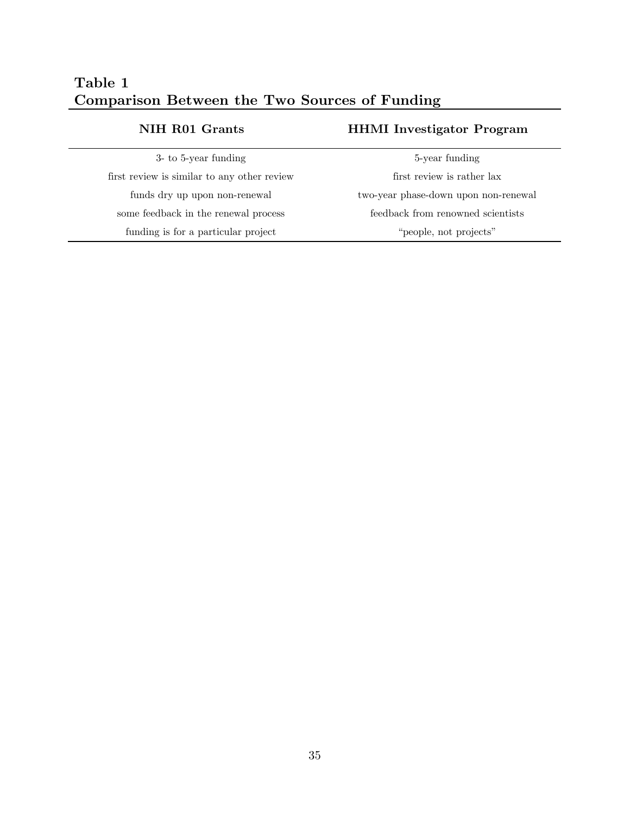## **Table 1 Comparison Between the Two Sources of Funding**

first review is similar to any other review first review is rather lax some feedback in the renewal process feedback from renowned scientists funding is for a particular project "people, not projects"

#### **NIH R01 Grants HHMI Investigator Program**

3- to 5-year funding 5-year funding 5-year funding funds dry up upon non-renewal two-year phase-down upon non-renewal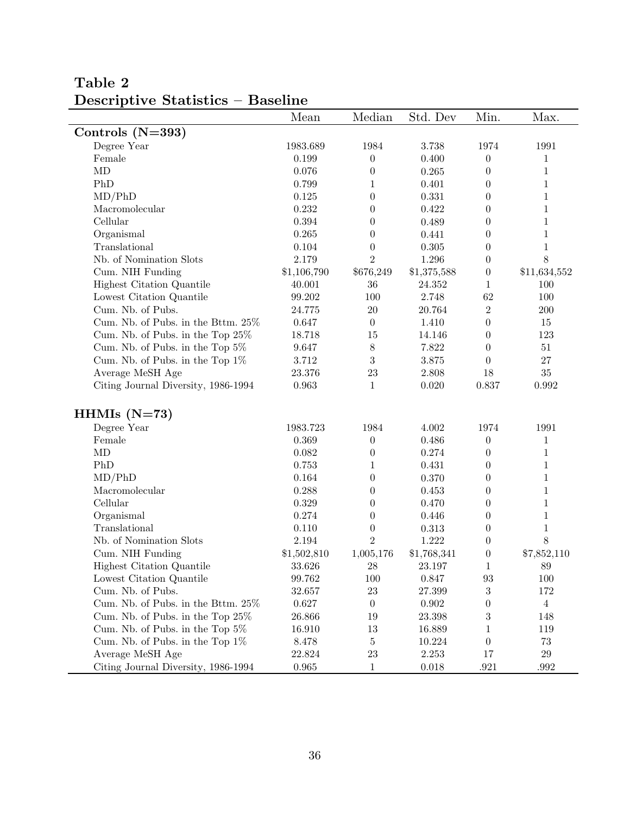| Descriptive Deathories              |             |                  |             |                   |                |
|-------------------------------------|-------------|------------------|-------------|-------------------|----------------|
|                                     | Mean        | Median           | Std. Dev    | Min.              | Max.           |
| Controls $(N=393)$                  |             |                  |             |                   |                |
| Degree Year                         | 1983.689    | 1984             | 3.738       | 1974              | 1991           |
| Female                              | 0.199       | $\boldsymbol{0}$ | 0.400       | $\boldsymbol{0}$  | $1\,$          |
| MD                                  | $0.076\,$   | $\boldsymbol{0}$ | 0.265       | $\boldsymbol{0}$  | $\mathbf{1}$   |
| PhD                                 | 0.799       | 1                | 0.401       | $\theta$          | $\mathbf{1}$   |
| MD/PhD                              | 0.125       | $\boldsymbol{0}$ | 0.331       | $\theta$          | $\mathbf{1}$   |
| Macromolecular                      | $0.232\,$   | $\theta$         | 0.422       | $\theta$          | $\mathbf{1}$   |
| Cellular                            | 0.394       | $\theta$         | 0.489       | $\theta$          | $\mathbf{1}$   |
| Organismal                          | 0.265       | $\theta$         | 0.441       | $\theta$          | $\mathbf{1}$   |
| Translational                       | 0.104       | $\theta$         | 0.305       | $\theta$          | $\mathbf{1}$   |
| Nb. of Nomination Slots             | 2.179       | $\overline{2}$   | 1.296       | $\boldsymbol{0}$  | $8\,$          |
| Cum. NIH Funding                    | \$1,106,790 | \$676,249        | \$1,375,588 | $\boldsymbol{0}$  | \$11,634,552   |
| <b>Highest Citation Quantile</b>    | 40.001      | 36               | 24.352      | $\mathbf{1}$      | 100            |
| Lowest Citation Quantile            | 99.202      | 100              | 2.748       | 62                | 100            |
| Cum. Nb. of Pubs.                   | 24.775      | $20\,$           | 20.764      | $\overline{2}$    | 200            |
| Cum. Nb. of Pubs. in the Bttm. 25%  | 0.647       | $\overline{0}$   | 1.410       | $\theta$          | 15             |
| Cum. Nb. of Pubs. in the Top 25%    | 18.718      | 15               | 14.146      | $\theta$          | 123            |
| Cum. Nb. of Pubs. in the Top 5%     | 9.647       | 8                | 7.822       | $\boldsymbol{0}$  | 51             |
| Cum. Nb. of Pubs. in the Top $1\%$  | $3.712\,$   | $\boldsymbol{3}$ | $3.875\,$   | $\boldsymbol{0}$  | $27\,$         |
| Average MeSH Age                    | 23.376      | $23\,$           | 2.808       | 18                | $35\,$         |
| Citing Journal Diversity, 1986-1994 | 0.963       | $\mathbf{1}$     | 0.020       | 0.837             | $\,0.992\,$    |
|                                     |             |                  |             |                   |                |
| HHMIs $(N=73)$                      |             |                  |             |                   |                |
| Degree Year                         | 1983.723    | 1984             | $4.002\,$   | 1974              | 1991           |
| Female                              | 0.369       | $\boldsymbol{0}$ | 0.486       | $\boldsymbol{0}$  | $\mathbf{1}$   |
| $\rm MD$                            | 0.082       | $\theta$         | 0.274       | $\theta$          | 1              |
| PhD                                 | 0.753       | 1                | 0.431       | $\theta$          | $\mathbf{1}$   |
| MD/PhD                              | $\,0.164\,$ | $\overline{0}$   | 0.370       | $\boldsymbol{0}$  | $\mathbf{1}$   |
| Macromolecular                      | 0.288       | $\boldsymbol{0}$ | 0.453       | $\boldsymbol{0}$  | $\mathbf{1}$   |
| Cellular                            | 0.329       | $\boldsymbol{0}$ | 0.470       | $\boldsymbol{0}$  | $\mathbf{1}$   |
| Organismal                          | 0.274       | $\boldsymbol{0}$ | 0.446       | $\boldsymbol{0}$  | $\mathbf{1}$   |
| Translational                       | 0.110       | $\boldsymbol{0}$ | 0.313       | $\boldsymbol{0}$  | $\mathbf{1}$   |
| Nb. of Nomination Slots             | 2.194       | $\overline{2}$   | 1.222       | $\boldsymbol{0}$  | $8\,$          |
| Cum. NIH Funding                    | \$1,502,810 | 1,005,176        | \$1,768,341 | $\boldsymbol{0}$  | \$7,852,110    |
| Highest Citation Quantile           | 33.626      | 28               | 23.197      | $\,1$             | 89             |
| Lowest Citation Quantile            | 99.762      | 100              | 0.847       | $\boldsymbol{93}$ | 100            |
| Cum. Nb. of Pubs.                   | 32.657      | $23\,$           | 27.399      | $\sqrt{3}$        | 172            |
| Cum. Nb. of Pubs. in the Bttm. 25%  | 0.627       | $\overline{0}$   | 0.902       | $\theta$          | $\overline{4}$ |
| Cum. Nb. of Pubs. in the Top 25%    | 26.866      | 19               | 23.398      | 3                 | 148            |
| Cum. Nb. of Pubs. in the Top 5%     | 16.910      | $13\,$           | 16.889      | 1                 | 119            |
| Cum. Nb. of Pubs. in the Top $1\%$  | 8.478       | $\bf 5$          | 10.224      | $\boldsymbol{0}$  | $73\,$         |
| Average MeSH Age                    | 22.824      | $23\,$           | 2.253       | 17                | $\,29$         |
| Citing Journal Diversity, 1986-1994 | $\,0.965\,$ | $\mathbf{1}$     | 0.018       | $.921\,$          | $.992\,$       |

## **Table 2 Descriptive Statistics – Baseline**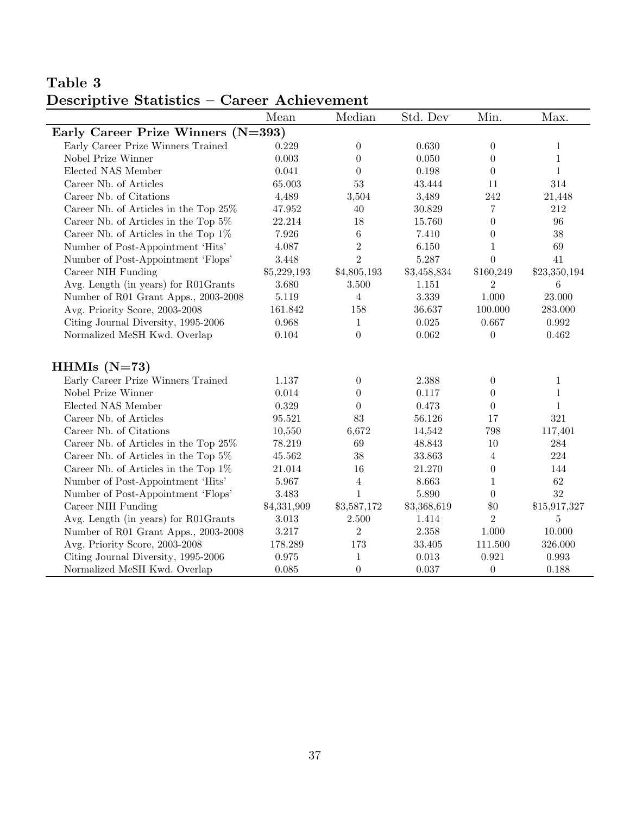| Table 3 |  |                                             |
|---------|--|---------------------------------------------|
|         |  | Descriptive Statistics – Career Achievement |

|                                          | Mean        | Median           | Std. Dev    | Min.             | Max.         |
|------------------------------------------|-------------|------------------|-------------|------------------|--------------|
| Early Career Prize Winners (N=393)       |             |                  |             |                  |              |
| Early Career Prize Winners Trained       | 0.229       | $\boldsymbol{0}$ | 0.630       | $\theta$         | $\mathbf{1}$ |
| Nobel Prize Winner                       | 0.003       | $\overline{0}$   | 0.050       | $\theta$         | $\mathbf{1}$ |
| Elected NAS Member                       | 0.041       | $\theta$         | 0.198       | $\theta$         | $\mathbf{1}$ |
| Career Nb. of Articles                   | 65.003      | 53               | 43.444      | 11               | 314          |
| Career Nb. of Citations                  | 4,489       | 3,504            | 3,489       | 242              | 21,448       |
| Career Nb. of Articles in the Top $25\%$ | 47.952      | 40               | 30.829      | 7                | 212          |
| Career Nb. of Articles in the Top 5%     | 22.214      | 18               | 15.760      | $\Omega$         | 96           |
| Career Nb. of Articles in the Top $1\%$  | 7.926       | 6                | 7.410       | $\theta$         | 38           |
| Number of Post-Appointment 'Hits'        | 4.087       | $\overline{2}$   | 6.150       | 1                | 69           |
| Number of Post-Appointment 'Flops'       | 3.448       | $\overline{2}$   | 5.287       | $\theta$         | 41           |
| Career NIH Funding                       | \$5,229,193 | \$4,805,193      | \$3,458,834 | \$160,249        | \$23,350,194 |
| Avg. Length (in years) for R01Grants     | 3.680       | 3.500            | 1.151       | $\overline{2}$   | 6            |
| Number of R01 Grant Apps., 2003-2008     | 5.119       | 4                | 3.339       | 1.000            | 23.000       |
| Avg. Priority Score, 2003-2008           | 161.842     | 158              | 36.637      | 100.000          | 283.000      |
| Citing Journal Diversity, 1995-2006      | 0.968       | $\mathbf{1}$     | $\,0.025\,$ | 0.667            | $\,0.992\,$  |
| Normalized MeSH Kwd. Overlap             | 0.104       | $\overline{0}$   | 0.062       | $\boldsymbol{0}$ | 0.462        |
| HHMIs $(N=73)$                           |             |                  |             |                  |              |
| Early Career Prize Winners Trained       | 1.137       | $\overline{0}$   | 2.388       | $\overline{0}$   | $\mathbf{1}$ |
| Nobel Prize Winner                       | 0.014       | $\theta$         | 0.117       | $\theta$         | $\mathbf{1}$ |
| Elected NAS Member                       | 0.329       | $\theta$         | 0.473       | $\overline{0}$   | $\mathbf{1}$ |
| Career Nb. of Articles                   | 95.521      | 83               | 56.126      | 17               | 321          |
| Career Nb. of Citations                  | 10,550      | 6,672            | 14,542      | 798              | 117,401      |
| Career Nb. of Articles in the Top 25%    | 78.219      | 69               | 48.843      | 10               | 284          |
| Career Nb. of Articles in the Top $5\%$  | 45.562      | 38               | 33.863      | $\overline{4}$   | 224          |
| Career Nb. of Articles in the Top $1\%$  | 21.014      | 16               | 21.270      | $\theta$         | 144          |
| Number of Post-Appointment 'Hits'        | 5.967       | $\overline{4}$   | 8.663       | 1                | 62           |
| Number of Post-Appointment 'Flops'       | 3.483       | 1                | 5.890       | $\theta$         | 32           |
| Career NIH Funding                       | \$4,331,909 | \$3,587,172      | \$3,368,619 | \$0              | \$15,917,327 |
| Avg. Length (in years) for R01Grants     | 3.013       | 2.500            | 1.414       | $\overline{2}$   | 5            |
| Number of R01 Grant Apps., 2003-2008     | 3.217       | $\overline{2}$   | 2.358       | 1.000            | 10.000       |
| Avg. Priority Score, 2003-2008           | 178.289     | 173              | 33.405      | 111.500          | 326.000      |
| Citing Journal Diversity, 1995-2006      | 0.975       | $\mathbf 1$      | 0.013       | 0.921            | 0.993        |
| Normalized MeSH Kwd. Overlap             | 0.085       | $\theta$         | 0.037       | $\overline{0}$   | 0.188        |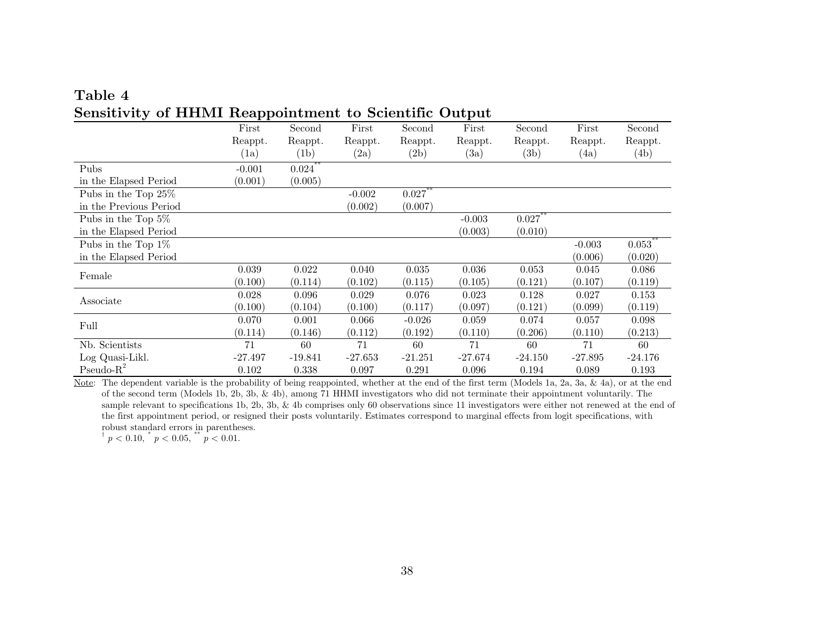#### **Table 4 Sensitivity of HHMI Reappointment to Scientific Output**

| ັ                      | . .       |           |           |            |           |           |           |           |
|------------------------|-----------|-----------|-----------|------------|-----------|-----------|-----------|-----------|
|                        | First     | Second    | First     | Second     | First     | Second    | First     | Second    |
|                        | Reappt.   | Reappt.   | Reappt.   | Reappt.    | Reappt.   | Reappt.   | Reappt.   | Reappt.   |
|                        | (1a)      | (1b)      | (2a)      | (2b)       | (3a)      | (3b)      | (4a)      | (4b)      |
| Pubs                   | $-0.001$  | 0.024     |           |            |           |           |           |           |
| in the Elapsed Period  | (0.001)   | (0.005)   |           |            |           |           |           |           |
| Pubs in the Top 25%    |           |           | $-0.002$  | $0.027$ ** |           |           |           |           |
| in the Previous Period |           |           | (0.002)   | (0.007)    |           |           |           |           |
| Pubs in the Top $5\%$  |           |           |           |            | $-0.003$  | 0.027     |           |           |
| in the Elapsed Period  |           |           |           |            | (0.003)   | (0.010)   |           |           |
| Pubs in the Top $1\%$  |           |           |           |            |           |           | $-0.003$  | 0.053     |
| in the Elapsed Period  |           |           |           |            |           |           | (0.006)   | (0.020)   |
| Female                 | 0.039     | 0.022     | 0.040     | 0.035      | 0.036     | 0.053     | 0.045     | 0.086     |
|                        | (0.100)   | (0.114)   | (0.102)   | (0.115)    | (0.105)   | (0.121)   | (0.107)   | (0.119)   |
|                        | 0.028     | 0.096     | 0.029     | 0.076      | 0.023     | 0.128     | 0.027     | 0.153     |
| Associate              | (0.100)   | (0.104)   | (0.100)   | (0.117)    | (0.097)   | (0.121)   | (0.099)   | (0.119)   |
|                        | 0.070     | 0.001     | 0.066     | $-0.026$   | 0.059     | 0.074     | 0.057     | 0.098     |
| Full                   | (0.114)   | (0.146)   | (0.112)   | (0.192)    | (0.110)   | (0.206)   | (0.110)   | (0.213)   |
| Nb. Scientists         | 71        | 60        | 71        | 60         | 71        | 60        | 71        | 60        |
| Log Quasi-Likl.        | $-27.497$ | $-19.841$ | $-27.653$ | $-21.251$  | $-27.674$ | $-24.150$ | $-27.895$ | $-24.176$ |
| $Pseudo-R2$            | 0.102     | 0.338     | 0.097     | 0.291      | 0.096     | 0.194     | 0.089     | 0.193     |

Note: The dependent variable is the probability of being reappointed, whether at the end of the first term (Models 1a, 2a, 3a, & 4a), or at the end of the second term (Models 1b, 2b, 3b, & 4b), among 71 HHMI investigators who did not terminate their appointment voluntarily. The sample relevant to specifications 1b, 2b, 3b, & 4b comprises only 60 observations since 11 investigators were either not renewed at the end of the first appointment period, or resigned their posts voluntarily. Estimates correspond to marginal effects from logit specifications, with robust standard errors in parentheses.

 $p < 0.10, p < 0.05, p < 0.01$ .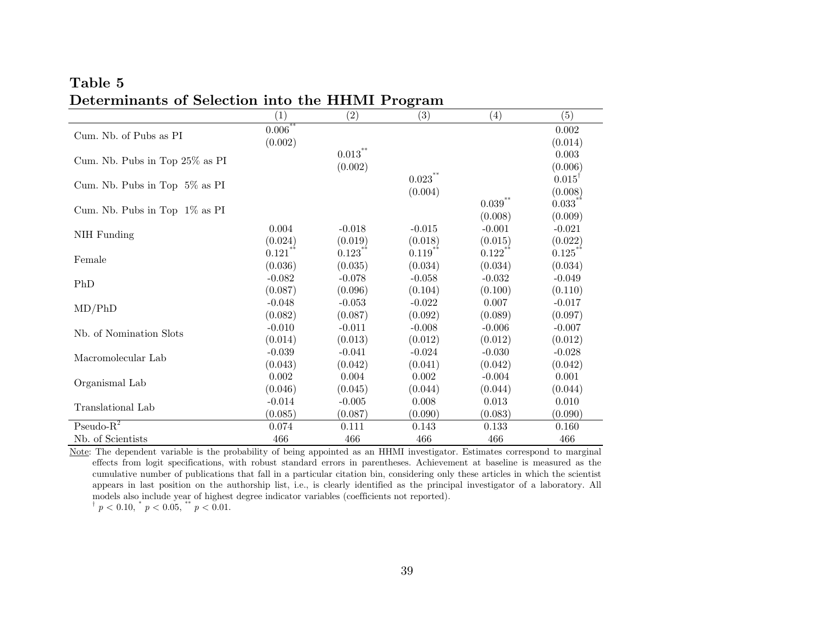| Determinants of belection mo the minimi-rogram | $\left( 1\right)$ |                   | (3)                   | (4)                  | (5)               |
|------------------------------------------------|-------------------|-------------------|-----------------------|----------------------|-------------------|
|                                                |                   | $\left( 2\right)$ |                       |                      |                   |
| Cum. Nb. of Pubs as PI                         | 0.006             |                   |                       |                      | 0.002             |
|                                                | (0.002)           |                   |                       |                      | (0.014)           |
| Cum. Nb. Pubs in Top 25% as PI                 |                   | $0.013^{**}$      |                       |                      | 0.003             |
|                                                |                   | (0.002)           |                       |                      | (0.006)           |
| Cum. Nb. Pubs in Top 5% as PI                  |                   |                   | $0.023^{^{\ast\ast}}$ |                      | $0.015^{\dagger}$ |
|                                                |                   |                   | (0.004)               |                      | (0.008)           |
| Cum. Nb. Pubs in Top 1% as PI                  |                   |                   |                       | $0.039***$           | 0.033             |
|                                                |                   |                   |                       | (0.008)              | (0.009)           |
| NIH Funding                                    | 0.004             | $-0.018$          | $-0.015$              | $-0.001$             | $-0.021$          |
|                                                | (0.024)           | (0.019)           | (0.018)               | (0.015)              | (0.022)           |
| Female                                         | 0.121             | 0.123             | 0.119                 | $0.122$ <sup>*</sup> | 0.125             |
|                                                | (0.036)           | (0.035)           | (0.034)               | (0.034)              | (0.034)           |
|                                                | $-0.082$          | $-0.078$          | $-0.058$              | $-0.032$             | $-0.049$          |
| PhD                                            | (0.087)           | (0.096)           | (0.104)               | (0.100)              | (0.110)           |
|                                                | $-0.048$          | $-0.053$          | $-0.022$              | 0.007                | $-0.017$          |
| MD/PhD                                         | (0.082)           | (0.087)           | (0.092)               | (0.089)              | (0.097)           |
|                                                | $-0.010$          | $-0.011$          | $-0.008$              | $-0.006$             | $-0.007$          |
| Nb. of Nomination Slots                        | (0.014)           | (0.013)           | (0.012)               | (0.012)              | (0.012)           |
|                                                | $-0.039$          | $-0.041$          | $-0.024$              | $-0.030$             | $-0.028$          |
| Macromolecular Lab                             | (0.043)           | (0.042)           | (0.041)               | (0.042)              | (0.042)           |
|                                                | 0.002             | 0.004             | 0.002                 | $-0.004$             | 0.001             |
| Organismal Lab                                 | (0.046)           | (0.045)           | (0.044)               | (0.044)              | (0.044)           |
|                                                | $-0.014$          | $-0.005$          | 0.008                 | 0.013                | 0.010             |
| Translational Lab                              | (0.085)           | (0.087)           | (0.090)               | (0.083)              | (0.090)           |
| Pseudo- $\overline{R^2}$                       | 0.074             | 0.111             | 0.143                 | 0.133                | 0.160             |
| Nb. of Scientists                              | 466               | 466               | 466                   | 466                  | 466               |

## **Table 5 Determinants of Selection into the HHMI Program**

Note: The dependent variable is the probability of being appointed as an HHMI investigator. Estimates correspond to marginal effects from logit specifications, with robust standard errors in parentheses. Achievement at baseline is measured as the cumulative number of publications that fall in a particular citation bin, considering only these articles in which the scientist appears in last position on the authorship list, i.e., is clearly identified as the principal investigator of a laboratory. All models also include year of highest degree indicator variables (coefficients not reported).  $\frac{1}{p} p < 0.10, \frac{1}{p} p < 0.05, \frac{1}{p} p < 0.01$ .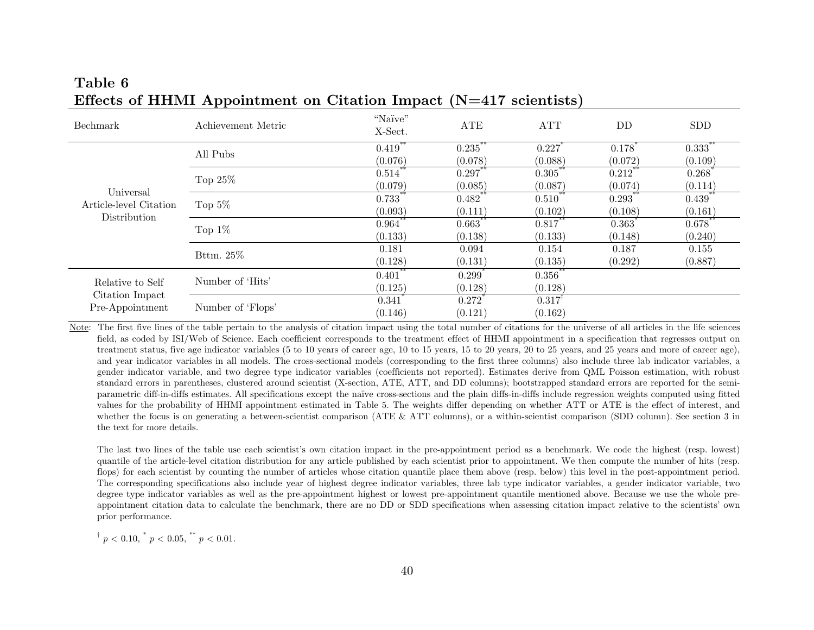| Bechmark                                            | Achievement Metric | "Naïve"<br>X-Sect.   | ATE                  | <b>ATT</b>        | DD                | <b>SDD</b>           |
|-----------------------------------------------------|--------------------|----------------------|----------------------|-------------------|-------------------|----------------------|
| Universal<br>Article-level Citation<br>Distribution | All Pubs           | $0.419$ <sup>*</sup> | 0.235                | 0.227             | 0.178             | 0.333                |
|                                                     |                    | (0.076)              | (0.078)              | (0.088)           | (0.072)           | (0.109)              |
|                                                     |                    | 0.514                | 0.297                | 0.305             | 0.212             | 0.268                |
|                                                     | Top $25\%$         | (0.079)              | (0.085)              | (0.087)           | (0.074)           | (0.114)              |
|                                                     | Top $5\%$          | $0.733^{\degree}$    | $0.482$ <sup>*</sup> | $0.510^{\degree}$ | $0.293^{\degree}$ | $0.439$ <sup>*</sup> |
|                                                     |                    | (0.093)              | (0.111)              | (0.102)           | (0.108)           | (0.161)              |
|                                                     | Top $1\%$          | 0.964                | $0.663^{\degree}$    | 0.817             | 0.363             | $0.678^{^{7}}$       |
|                                                     |                    | (0.133)              | (0.138)              | (0.133)           | (0.148)           | (0.240)              |
|                                                     | Bttm. 25%          | 0.181                | 0.094                | 0.154             | 0.187             | 0.155                |
|                                                     |                    | (0.128)              | (0.131)              | (0.135)           | (0.292)           | (0.887)              |
|                                                     |                    | 0.401                | 0.299                | 0.356             |                   |                      |
| Relative to Self                                    | Number of 'Hits'   | (0.125)              | (0.128)              | (0.128)           |                   |                      |
| Citation Impact                                     |                    | 0.341                | $0.272$ <sup>*</sup> | $0.317^{\dagger}$ |                   |                      |
| Pre-Appointment                                     | Number of 'Flops'  | (0.146)              | (0.121)              | (0.162)           |                   |                      |

## **Table 6 Effects of HHMI Appointment on Citation Impact (N=417 scientists)**

Note: The first five lines of the table pertain to the analysis of citation impact using the total number of citations for the universe of all articles in the life sciences field, as coded by ISI/Web of Science. Each coefficient corresponds to the treatment effect of HHMI appointment in a specification that regresses output on treatment status, five age indicator variables (5 to 10 years of career age, 10 to 15 years, 15 to 20 years, 20 to 25 years, and 25 years and more of career age), and year indicator variables in all models. The cross-sectional models (corresponding to the first three columns) also include three lab indicator variables, a gender indicator variable, and two degree type indicator variables (coefficients not reported). Estimates derive from QML Poisson estimation, with robust standard errors in parentheses, clustered around scientist (X-section, ATE, ATT, and DD columns); bootstrapped standard errors are reported for the semiparametric diff-in-diffs estimates. All specifications except the naïve cross-sections and the plain diffs-in-diffs include regression weights computed using fitted values for the probability of HHMI appointment estimated in Table 5. The weights differ depending on whether ATT or ATE is the effect of interest, and whether the focus is on generating a between-scientist comparison (ATE & ATT columns), or a within-scientist comparison (SDD column). See section 3 in the text for more details.

 The last two lines of the table use each scientist's own citation impact in the pre-appointment period as a benchmark. We code the highest (resp. lowest) quantile of the article-level citation distribution for any article published by each scientist prior to appointment. We then compute the number of hits (resp. flops) for each scientist by counting the number of articles whose citation quantile place them above (resp. below) this level in the post-appointment period. The corresponding specifications also include year of highest degree indicator variables, three lab type indicator variables, a gender indicator variable, two degree type indicator variables as well as the pre-appointment highest or lowest pre-appointment quantile mentioned above. Because we use the whole preappointment citation data to calculate the benchmark, there are no DD or SDD specifications when assessing citation impact relative to the scientists' own prior performance.

<sup>†</sup>  $p < 0.10$ ,  $p < 0.05$ ,  $p \le 0.01$ .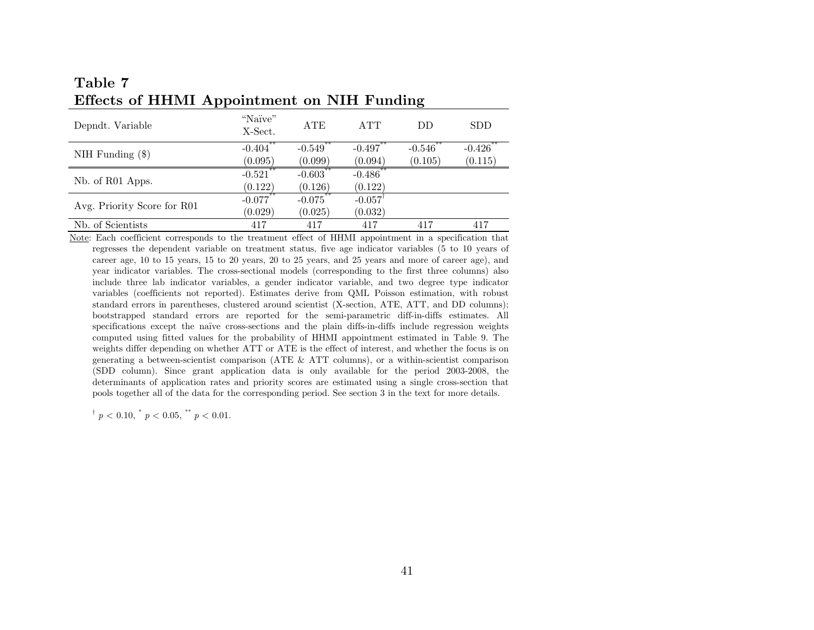| Depndt. Variable            | "Naïve"<br>X-Sect.  | <b>ATE</b>                       | <b>ATT</b>                       | DD                  | <b>SDD</b>          |
|-----------------------------|---------------------|----------------------------------|----------------------------------|---------------------|---------------------|
| NIH Funding $(\$)$          | $-0.404$<br>(0.095) | $-0.549$<br>(0.099)              | $-0.497$<br>(0.094)              | $-0.546$<br>(0.105) | $-0.426$<br>(0.115) |
| Nb. of R01 Apps.            | $-0.521$<br>(0.122) | $-0.603$ <sup>*</sup><br>(0.126) | $-0.486$ **<br>(0.122)           |                     |                     |
| Avg. Priority Score for R01 | $-0.077$<br>(0.029) | $-0.075$<br>(0.025)              | $-0.057$ <sup>T</sup><br>(0.032) |                     |                     |
| Nb. of Scientists           | 417                 | 417                              | 417                              | 417                 | 417                 |

**Table 7 Effects of HHMI Appointment on NIH Funding** 

Note: Each coefficient corresponds to the treatment effect of HHMI appointment in a specification that regresses the dependent variable on treatment status, five age indicator variables (5 to 10 years of career age, 10 to 15 years, 15 to 20 years, 20 to 25 years, and 25 years and more of career age), and year indicator variables. The cross-sectional models (corresponding to the first three columns) also include three lab indicator variables, a gender indicator variable, and two degree type indicator variables (coefficients not reported). Estimates derive from QML Poisson estimation, with robust standard errors in parentheses, clustered around scientist (X-section, ATE, ATT, and DD columns); bootstrapped standard errors are reported for the semi-parametric diff-in-diffs estimates. All specifications except the naïve cross-sections and the plain diffs-in-diffs include regression weights computed using fitted values for the probability of HHMI appointment estimated in Table 9. The weights differ depending on whether ATT or ATE is the effect of interest, and whether the focus is on generating a between-scientist comparison (ATE  $\&$  ATT columns), or a within-scientist comparison (SDD column). Since grant application data is only available for the period 2003-2008, the determinants of application rates and priority scores are estimated using a single cross-section that pools together all of the data for the corresponding period. See section 3 in the text for more details.

<sup>†</sup>  $p < 0.10$ , <sup>\*</sup>  $p < 0.05$ , <sup>\*\*</sup>  $p < 0.01$ .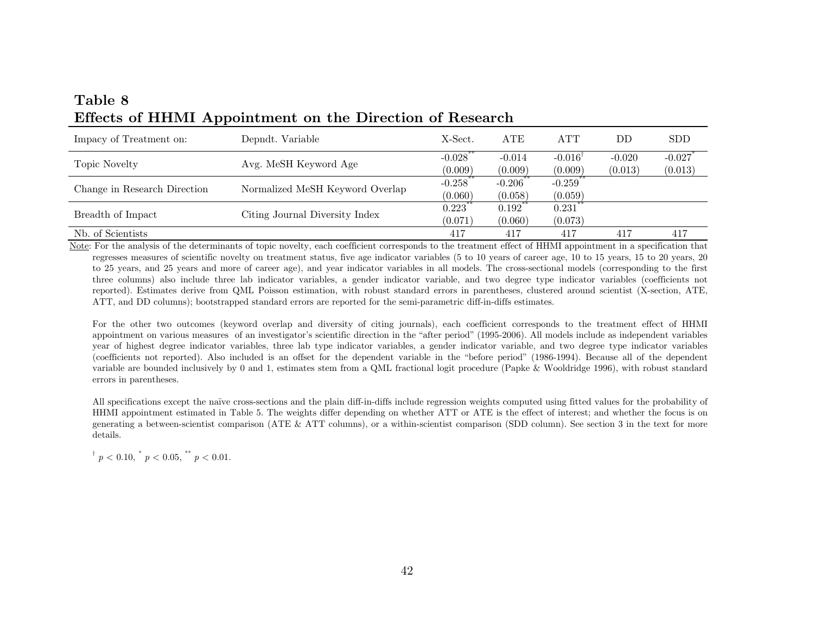| Impacy of Treatment on:      | Depndt. Variable                | X-Sect.                | <b>ATE</b>                       | <b>ATT</b>                       | DD                  | <b>SDD</b>          |  |
|------------------------------|---------------------------------|------------------------|----------------------------------|----------------------------------|---------------------|---------------------|--|
| Topic Novelty                | Avg. MeSH Keyword Age           | $-0.028$ **<br>(0.009) | $-0.014$<br>(0.009)              | $-0.016$ <sup>T</sup><br>(0.009) | $-0.020$<br>(0.013) | $-0.027$<br>(0.013) |  |
| Change in Research Direction | Normalized MeSH Keyword Overlap | $-0.258$<br>(0.060)    | $-0.206$ <sup>*</sup><br>(0.058) | $-0.259$ <sup>*</sup><br>(0.059) |                     |                     |  |
| Breadth of Impact            | Citing Journal Diversity Index  | 0.223<br>(0.071)       | 0.192<br>(0.060)                 | 0.231<br>(0.073)                 |                     |                     |  |
| Nb. of Scientists            |                                 | 417                    | 417                              | 417                              | 417                 | 417                 |  |

## **Table 8 Effects of HHMI Appointment on the Direction of Research**

Note: For the analysis of the determinants of topic novelty, each coefficient corresponds to the treatment effect of HHMI appointment in a specification that regresses measures of scientific novelty on treatment status, five age indicator variables (5 to 10 years of career age, 10 to 15 years, 15 to 20 years, 20 to 25 years, and 25 years and more of career age), and year indicator variables in all models. The cross-sectional models (corresponding to the first three columns) also include three lab indicator variables, a gender indicator variable, and two degree type indicator variables (coefficients not reported). Estimates derive from QML Poisson estimation, with robust standard errors in parentheses, clustered around scientist (X-section, ATE, ATT, and DD columns); bootstrapped standard errors are reported for the semi-parametric diff-in-diffs estimates.

 For the other two outcomes (keyword overlap and diversity of citing journals), each coefficient corresponds to the treatment effect of HHMI appointment on various measures of an investigator's scientific direction in the "after period" (1995-2006). All models include as independent variables year of highest degree indicator variables, three lab type indicator variables, a gender indicator variable, and two degree type indicator variables (coefficients not reported). Also included is an offset for the dependent variable in the "before period" (1986-1994). Because all of the dependent variable are bounded inclusively by 0 and 1, estimates stem from a QML fractional logit procedure (Papke & Wooldridge 1996), with robust standard errors in parentheses.

 All specifications except the naïve cross-sections and the plain diff-in-diffs include regression weights computed using fitted values for the probability of HHMI appointment estimated in Table 5. The weights differ depending on whether ATT or ATE is the effect of interest; and whether the focus is on generating a between-scientist comparison (ATE & ATT columns), or a within-scientist comparison (SDD column). See section 3 in the text for more details.

 $p < 0.10, p < 0.05, p < 0.01$ .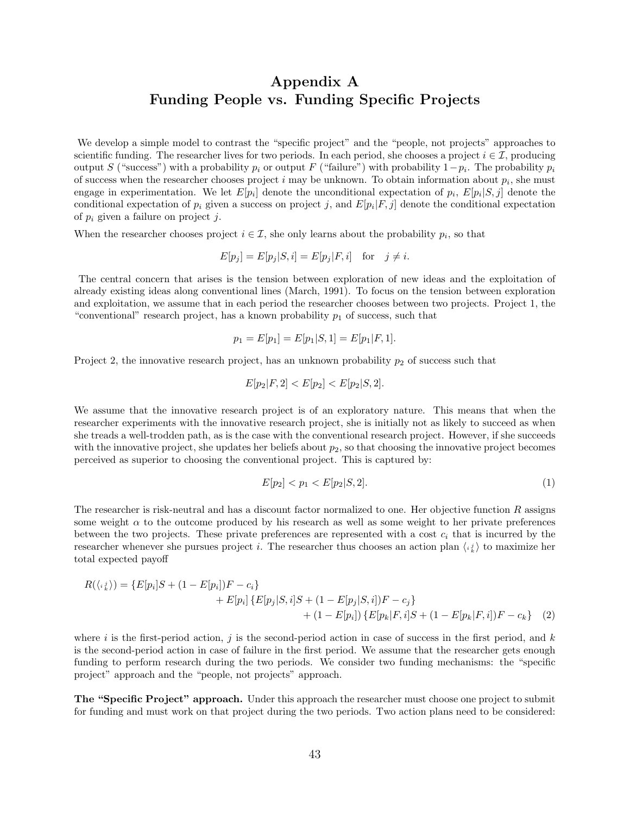## Appendix A Funding People vs. Funding Specific Projects

We develop a simple model to contrast the "specific project" and the "people, not projects" approaches to scientific funding. The researcher lives for two periods. In each period, she chooses a project  $i \in \mathcal{I}$ , producing output S ("success") with a probability  $p_i$  or output F ("failure") with probability  $1-p_i$ . The probability  $p_i$ of success when the researcher chooses project  $i$  may be unknown. To obtain information about  $p_i$ , she must engage in experimentation. We let  $E[p_i]$  denote the unconditional expectation of  $p_i$ ,  $E[p_i|S, j]$  denote the conditional expectation of  $p_i$  given a success on project j, and  $E[p_i|F, j]$  denote the conditional expectation of  $p_i$  given a failure on project j.

When the researcher chooses project  $i \in \mathcal{I}$ , she only learns about the probability  $p_i$ , so that

$$
E[p_j] = E[p_j|S, i] = E[p_j|F, i] \text{ for } j \neq i.
$$

The central concern that arises is the tension between exploration of new ideas and the exploitation of already existing ideas along conventional lines (March, 1991). To focus on the tension between exploration and exploitation, we assume that in each period the researcher chooses between two projects. Project 1, the "conventional" research project, has a known probability  $p_1$  of success, such that

$$
p_1 = E[p_1] = E[p_1|S, 1] = E[p_1|F, 1].
$$

Project 2, the innovative research project, has an unknown probability  $p_2$  of success such that

$$
E[p_2|F, 2] < E[p_2] < E[p_2|S, 2].
$$

We assume that the innovative research project is of an exploratory nature. This means that when the researcher experiments with the innovative research project, she is initially not as likely to succeed as when she treads a well-trodden path, as is the case with the conventional research project. However, if she succeeds with the innovative project, she updates her beliefs about  $p_2$ , so that choosing the innovative project becomes perceived as superior to choosing the conventional project. This is captured by:

$$
E[p_2] < p_1 < E[p_2|S, 2].\tag{1}
$$

The researcher is risk-neutral and has a discount factor normalized to one. Her objective function  $R$  assigns some weight  $\alpha$  to the outcome produced by his research as well as some weight to her private preferences between the two projects. These private preferences are represented with a cost  $c_i$  that is incurred by the researcher whenever she pursues project *i*. The researcher thus chooses an action plan  $\langle i_k^j \rangle$  to maximize her total expected payoff

$$
R(\langle i_k \rangle) = \{ E[p_i]S + (1 - E[p_i])F - c_i \} + E[p_i] \{ E[p_j|S, i]S + (1 - E[p_j|S, i])F - c_j \} + (1 - E[p_i]) \{ E[p_k|F, i]S + (1 - E[p_k|F, i])F - c_k \} \tag{2}
$$

where i is the first-period action, j is the second-period action in case of success in the first period, and  $k$ is the second-period action in case of failure in the first period. We assume that the researcher gets enough funding to perform research during the two periods. We consider two funding mechanisms: the "specific project" approach and the "people, not projects" approach.

The "Specific Project" approach. Under this approach the researcher must choose one project to submit for funding and must work on that project during the two periods. Two action plans need to be considered: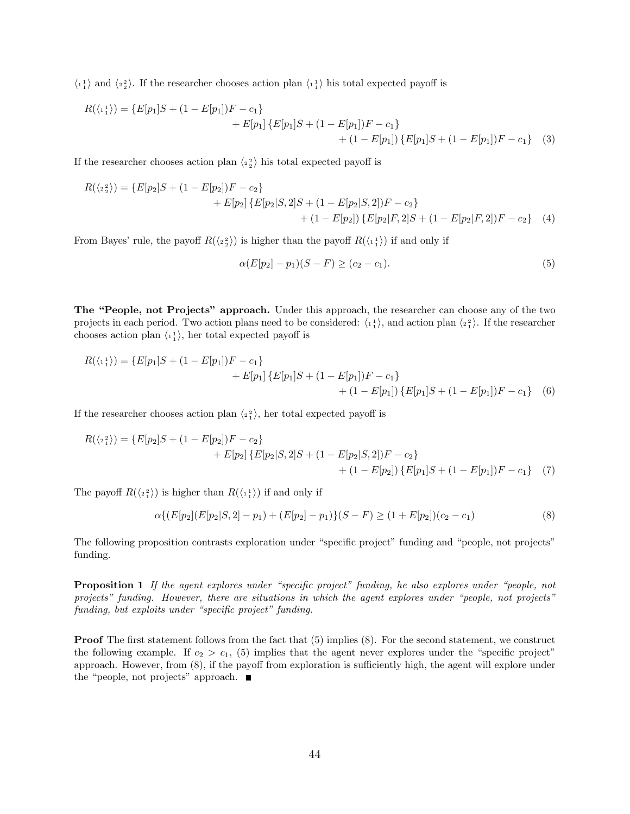$\langle 1_1^1 \rangle$  and  $\langle 2_2^2 \rangle$ . If the researcher chooses action plan  $\langle 1_1^1 \rangle$  his total expected payoff is

$$
R(\langle \mathbf{1}_1 \rangle) = \{ E[p_1]S + (1 - E[p_1])F - c_1 \}
$$
  
+ 
$$
E[p_1] \{ E[p_1]S + (1 - E[p_1])F - c_1 \}
$$
  
+ 
$$
(1 - E[p_1]) \{ E[p_1]S + (1 - E[p_1])F - c_1 \}
$$
 (3)

If the researcher chooses action plan  $\langle 2^2 \rangle$  his total expected payoff is

$$
R(\langle z_2^2 \rangle) = \{ E[p_2]S + (1 - E[p_2])F - c_2 \}
$$
  
+ 
$$
E[p_2] \{ E[p_2|S, 2]S + (1 - E[p_2|S, 2])F - c_2 \}
$$
  
+ 
$$
(1 - E[p_2]) \{ E[p_2|F, 2]S + (1 - E[p_2|F, 2])F - c_2 \}
$$
 (4)

From Bayes' rule, the payoff  $R(\langle 2^2 \rangle)$  is higher than the payoff  $R(\langle 1^1 \rangle)$  if and only if

$$
\alpha(E[p_2] - p_1)(S - F) \ge (c_2 - c_1). \tag{5}
$$

The "People, not Projects" approach. Under this approach, the researcher can choose any of the two projects in each period. Two action plans need to be considered:  $\langle 1_1^1 \rangle$ , and action plan  $\langle 2_1^2 \rangle$ . If the researcher chooses action plan  $\langle \cdot, \cdot \rangle$ , her total expected payoff is

$$
R(\langle \mathbf{1}_1 \rangle) = \{ E[p_1]S + (1 - E[p_1])F - c_1 \}
$$
  
+ 
$$
E[p_1] \{ E[p_1]S + (1 - E[p_1])F - c_1 \}
$$
  
+ 
$$
(1 - E[p_1]) \{ E[p_1]S + (1 - E[p_1])F - c_1 \}
$$
 (6)

If the researcher chooses action plan  $\langle \frac{2}{1} \rangle$ , her total expected payoff is

$$
R(\langle z_1^2 \rangle) = \{ E[p_2]S + (1 - E[p_2])F - c_2 \}
$$
  
+ 
$$
E[p_2] \{ E[p_2|S, 2]S + (1 - E[p_2|S, 2])F - c_2 \}
$$
  
+ 
$$
(1 - E[p_2]) \{ E[p_1]S + (1 - E[p_1])F - c_1 \}
$$
 (7)

The payoff  $R(\langle \frac{2}{2} \rangle)$  is higher than  $R(\langle \frac{1}{2} \rangle)$  if and only if

$$
\alpha \{ (E[p_2](E[p_2|S,2]-p_1) + (E[p_2]-p_1) \} (S-F) \ge (1+E[p_2])(c_2-c_1)
$$
\n(8)

The following proposition contrasts exploration under "specific project" funding and "people, not projects" funding.

Proposition 1 If the agent explores under "specific project" funding, he also explores under "people, not projects" funding. However, there are situations in which the agent explores under "people, not projects" funding, but exploits under "specific project" funding.

Proof The first statement follows from the fact that (5) implies (8). For the second statement, we construct the following example. If  $c_2 > c_1$ , (5) implies that the agent never explores under the "specific project" approach. However, from (8), if the payoff from exploration is sufficiently high, the agent will explore under the "people, not projects" approach.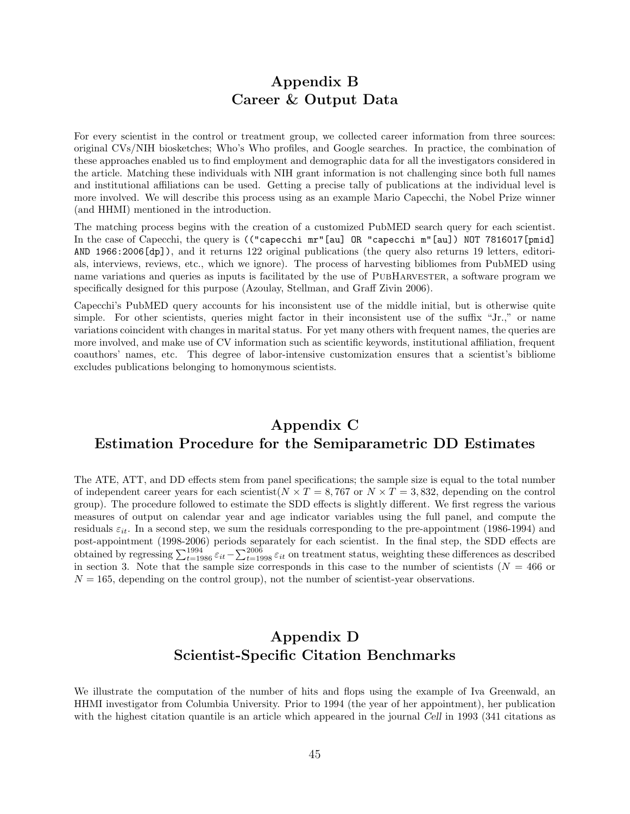#### Appendix B Career & Output Data

For every scientist in the control or treatment group, we collected career information from three sources: original CVs/NIH biosketches; Who's Who profiles, and Google searches. In practice, the combination of these approaches enabled us to find employment and demographic data for all the investigators considered in the article. Matching these individuals with NIH grant information is not challenging since both full names and institutional affiliations can be used. Getting a precise tally of publications at the individual level is more involved. We will describe this process using as an example Mario Capecchi, the Nobel Prize winner (and HHMI) mentioned in the introduction.

The matching process begins with the creation of a customized PubMED search query for each scientist. In the case of Capecchi, the query is (("capecchi mr"[au] OR "capecchi m"[au]) NOT 7816017[pmid] AND 1966:2006[dp]), and it returns 122 original publications (the query also returns 19 letters, editorials, interviews, reviews, etc., which we ignore). The process of harvesting bibliomes from PubMED using name variations and queries as inputs is facilitated by the use of PubHarvester, a software program we specifically designed for this purpose (Azoulay, Stellman, and Graff Zivin 2006).

Capecchi's PubMED query accounts for his inconsistent use of the middle initial, but is otherwise quite simple. For other scientists, queries might factor in their inconsistent use of the suffix "Jr.," or name variations coincident with changes in marital status. For yet many others with frequent names, the queries are more involved, and make use of CV information such as scientific keywords, institutional affiliation, frequent coauthors' names, etc. This degree of labor-intensive customization ensures that a scientist's bibliome excludes publications belonging to homonymous scientists.

#### Appendix C Estimation Procedure for the Semiparametric DD Estimates

The ATE, ATT, and DD effects stem from panel specifications; the sample size is equal to the total number of independent career years for each scientist( $N \times T = 8,767$  or  $N \times T = 3,832$ , depending on the control group). The procedure followed to estimate the SDD effects is slightly different. We first regress the various measures of output on calendar year and age indicator variables using the full panel, and compute the residuals  $\varepsilon_{it}$ . In a second step, we sum the residuals corresponding to the pre-appointment (1986-1994) and post-appointment (1998-2006) periods separately for each scientist. In the final step, the SDD effects are obtained by regressing  $\sum_{t=1986}^{1994} \varepsilon_{it} - \sum_{t=1998}^{2006} \varepsilon_{it}$  on treatment status, weighting these differences as described in section 3. Note that the sample size corresponds in this case to the number of scientists ( $N = 466$  or  $N = 165$ , depending on the control group), not the number of scientist-year observations.

## Appendix D Scientist-Specific Citation Benchmarks

We illustrate the computation of the number of hits and flops using the example of Iva Greenwald, an HHMI investigator from Columbia University. Prior to 1994 (the year of her appointment), her publication with the highest citation quantile is an article which appeared in the journal Cell in 1993 (341 citations as